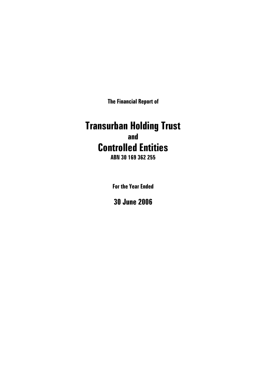**The Financial Report of** 

# **Transurban Holding Trust and Controlled Entities**

**ABN 30 169 362 255** 

**For the Year Ended** 

**30 June 2006**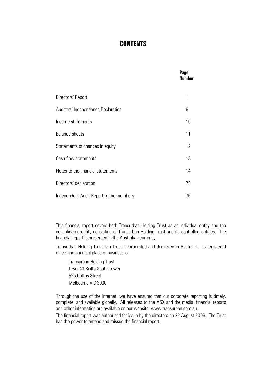# **CONTENTS**

|                                         | Page<br><b>Number</b> |
|-----------------------------------------|-----------------------|
| Directors' Report                       | 1                     |
| Auditors' Independence Declaration      | 9                     |
| Income statements                       | 10                    |
| <b>Balance sheets</b>                   | 11                    |
| Statements of changes in equity         | 12                    |
| Cash flow statements                    | 13                    |
| Notes to the financial statements       | 14                    |
| Directors' declaration                  | 75                    |
| Independent Audit Report to the members | 76                    |

This financial report covers both Transurban Holding Trust as an individual entity and the consolidated entity consisting of Transurban Holding Trust and its controlled entities. The financial report is presented in the Australian currency.

Transurban Holding Trust is a Trust incorporated and domiciled in Australia. Its registered office and principal place of business is:

Transurban Holding Trust Level 43 Rialto South Tower 525 Collins Street Melbourne VIC 3000

 Through the use of the internet, we have ensured that our corporate reporting is timely, complete, and available globally. All releases to the ASX and the media, financial reports and other information are available on our website: [www.transurban.com.au](http://www.transurban.com.au/)

The financial report was authorised for issue by the directors on 22 August 2006. The Trust has the power to amend and reissue the financial report.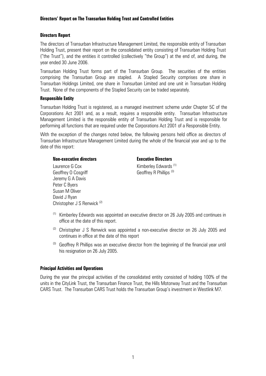#### **Directors Report**

The directors of Transurban Infrastructure Management Limited, the responsible entity of Transurban Holding Trust, present their report on the consolidated entity consisting of Transurban Holding Trust ("the Trust"), and the entities it controlled (collectively "the Group") at the end of, and during, the year ended 30 June 2006.

Transurban Holding Trust forms part of the Transurban Group. The securities of the entities comprising the Transurban Group are stapled. A Stapled Security comprises one share in Transurban Holdings Limited, one share in Transurban Limited and one unit in Transurban Holding Trust. None of the components of the Stapled Security can be traded separately.

#### **Responsible Entity**

Transurban Holding Trust is registered, as a managed investment scheme under Chapter 5C of the Corporations Act 2001 and, as a result, requires a responsible entity. Transurban Infrastructure Management Limited is the responsible entity of Transurban Holding Trust and is responsible for performing all functions that are required under the Corporations Act 2001 of a Responsible Entity.

With the exception of the changes noted below, the following persons held office as directors of Transurban Infrastructure Management Limited during the whole of the financial year and up to the date of this report:

#### **Non-executive directors Executive Directors**

Laurence G Cox Kimberley Edwards (1) Geoffrey O Cosgriff Geoffrey R Phillips (3) Jeremy G A Davis Peter C Byers Susan M Oliver David J Ryan Christopher J S Renwick (2)

- $(1)$  Kimberley Edwards was appointed an executive director on 26 July 2005 and continues in office at the date of this report.
- $(2)$  Christopher J S Renwick was appointed a non-executive director on 26 July 2005 and continues in office at the date of this report
- $(3)$  Geoffrey R Phillips was an executive director from the beginning of the financial year until his resignation on 26 July 2005.

#### **Principal Activities and Operations**

During the year the principal activities of the consolidated entity consisted of holding 100% of the units in the CityLink Trust, the Transurban Finance Trust, the Hills Motorway Trust and the Transurban CARS Trust. The Transurban CARS Trust holds the Transurban Group's investment in Westlink M7.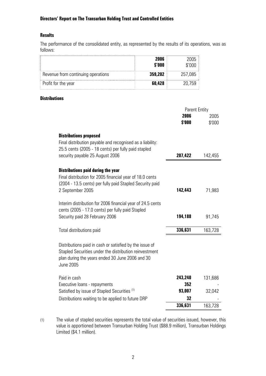#### **Results**

The performance of the consolidated entity, as represented by the results of its operations, was as follows:

|                                    | 2006<br>\$'000 | 7005<br>\$'000 |
|------------------------------------|----------------|----------------|
| Revenue from continuing operations | 359,202        | 257,085        |
| Profit for the year                | 60,428         | 20.759         |

#### **Distributions**

|                                                                                                                | <b>Parent Entity</b> |         |
|----------------------------------------------------------------------------------------------------------------|----------------------|---------|
|                                                                                                                | 2006<br>\$'000       | 2005    |
|                                                                                                                |                      | \$'000  |
| <b>Distributions proposed</b>                                                                                  |                      |         |
| Final distribution payable and recognised as a liability:                                                      |                      |         |
| 25.5 cents (2005 - 18 cents) per fully paid stapled                                                            |                      |         |
| security payable 25 August 2006                                                                                | 207,422              | 142,455 |
| <b>Distributions paid during the year</b>                                                                      |                      |         |
| Final distribution for 2005 financial year of 18.0 cents                                                       |                      |         |
| (2004 - 13.5 cents) per fully paid Stapled Security paid                                                       |                      |         |
| 2 September 2005                                                                                               | 142,443              | 71,983  |
|                                                                                                                |                      |         |
| Interim distribution for 2006 financial year of 24.5 cents<br>cents (2005 - 17.0 cents) per fully paid Stapled |                      |         |
| Security paid 28 February 2006                                                                                 | 194,188              | 91,745  |
|                                                                                                                |                      |         |
| Total distributions paid                                                                                       | 336,631              | 163,728 |
|                                                                                                                |                      |         |
| Distributions paid in cash or satisfied by the issue of                                                        |                      |         |
| Stapled Securities under the distribution reinvestment<br>plan during the years ended 30 June 2006 and 30      |                      |         |
| <b>June 2005</b>                                                                                               |                      |         |
|                                                                                                                |                      |         |
| Paid in cash                                                                                                   | 243,240              | 131,686 |
| Executive loans - repayments                                                                                   | 352<br>93,007        |         |
| Satisfied by issue of Stapled Securities (1)                                                                   | 32                   | 32,042  |
| Distributions waiting to be applied to future DRP                                                              | 336,631              | 163,728 |
|                                                                                                                |                      |         |

(1) The value of stapled securities represents the total value of securities issued, however, this value is apportioned between Transurban Holding Trust (\$88.9 million), Transurban Holdings Limited (\$4.1 million).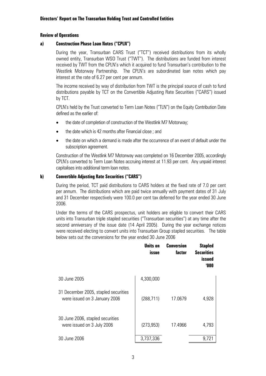#### **Review of Operations**

#### **a) Construction Phase Loan Notes ("CPLN")**

 During the year, Transurban CARS Trust ("TCT") received distributions from its wholly owned entity, Transurban WSO Trust ("TWT"). The distributions are funded from interest received by TWT from the CPLN's which it acquired to fund Transurban's contribution to the Westlink Motorway Partnership. The CPLN's are subordinated loan notes which pay interest at the rate of 6.27 per cent per annum.

 The income received by way of distribution from TWT is the principal source of cash to fund distributions payable by TCT on the Convertible Adjusting Rate Securities ("CARS") issued by TCT.

CPLN's held by the Trust converted to Term Loan Notes ("TLN") on the Equity Contribution Date defined as the earlier of:

- the date of completion of construction of the Westlink M7 Motorway;
- the date which is 42 months after Financial close ; and
- the date on which a demand is made after the occurrence of an event of default under the subscription agreement.

Construction of the Westlink M7 Motorway was completed on 16 December 2005, accordingly CPLN's converted to Term Loan Notes accruing interest at 11.93 per cent. Any unpaid interest capitalises into additional term loan notes.

#### **b) Convertible Adjusting Rate Securities ("CARS")**

 During the period, TCT paid distributions to CARS holders at the fixed rate of 7.0 per cent per annum. The distributions which are paid twice annually with payment dates of 31 July and 31 December respectively were 100.0 per cent tax deferred for the year ended 30 June 2006.

 Under the terms of the CARS prospectus, unit holders are eligible to convert their CARS units into Transurban triple stapled securities ("Transurban securities") at any time after the second anniversary of the issue date (14 April 2005). During the year exchange notices were received electing to convert units into Transurban Group stapled securities. The table below sets out the conversions for the year ended 30 June 2006

|                                                                       | Units on<br><i>issue</i> | Conversion<br>factor | <b>Stapled</b><br><b>Securities</b><br>issued<br>'000 |
|-----------------------------------------------------------------------|--------------------------|----------------------|-------------------------------------------------------|
| 30 June 2005                                                          | 4,300,000                |                      |                                                       |
| 31 December 2005, stapled securities<br>were issued on 3 January 2006 | (288, 711)               | 17.0679              | 4,928                                                 |
| 30 June 2006, stapled securities<br>were issued on 3 July 2006        | (273, 953)               | 17.4966              | 4,793                                                 |
| 30 June 2006                                                          | 3,737,336                |                      | 9,721                                                 |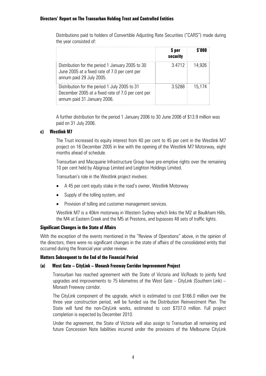Distributions paid to holders of Convertible Adjusting Rate Securities ("CARS") made during the year consisted of:

|                                                                                                                                   | \$ per<br>security | \$'000 |
|-----------------------------------------------------------------------------------------------------------------------------------|--------------------|--------|
| Distribution for the period 1 January 2005 to 30<br>June 2005 at a fixed rate of 7.0 per cent per<br>annum paid 29 July 2005.     | 3.4712             | 14.926 |
| Distribution for the period 1 July 2005 to 31<br>December 2005 at a fixed rate of 7.0 per cent per<br>annum paid 31 January 2006. | 3.5288             | 15.174 |

A further distribution for the period 1 January 2006 to 30 June 2006 of \$13.9 million was paid on 31 July 2006.

#### **c) Westlink M7**

The Trust increased its equity interest from 40 per cent to 45 per cent in the Westlink M7 project on 16 December 2005 in line with the opening of the Westlink M7 Motorway, eight months ahead of schedule.

Transurban and Macquarie Infrastructure Group have pre-emptive rights over the remaining 10 per cent held by Abigroup Limited and Leighton Holdings Limited.

Transurban's role in the Westlink project involves:

- A 45 per cent equity stake in the road's owner, Westlink Motorway
- Supply of the tolling system, and
- Provision of tolling and customer management services.

Westlink M7 is a 40km motorway in Western Sydney which links the M2 at Baulkham Hills, the M4 at Eastern Creek and the M5 at Prestons, and bypasses 48 sets of traffic lights.

#### **Significant Changes in the State of Affairs**

With the exception of the events mentioned in the "Review of Operations" above, in the opinion of the directors, there were no significant changes in the state of affairs of the consolidated entity that occurred during the financial year under review.

#### **Matters Subsequent to the End of the Financial Period**

#### **(a) West Gate – CityLink – Monash Freeway Corridor Improvement Project**

Transurban has reached agreement with the State of Victoria and VicRoads to jointly fund upgrades and improvements to 75 kilometres of the West Gate – CityLink (Southern Link) – Monash Freeway corridor.

The CityLink component of the upgrade, which is estimated to cost \$166.0 million over the three year construction period, will be funded via the Distribution Reinvestment Plan. The State will fund the non-CityLink works, estimated to cost \$737.0 million. Full project completion is expected by December 2010.

Under the agreement, the State of Victoria will also assign to Transurban all remaining and future Concession Note liabilities incurred under the provisions of the Melbourne CityLink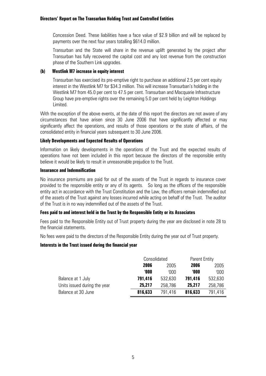Concession Deed. These liabilities have a face value of \$2.9 billion and will be replaced by payments over the next four years totalling \$614.0 million.

Transurban and the State will share in the revenue uplift generated by the project after Transurban has fully recovered the capital cost and any lost revenue from the construction phase of the Southern Link upgrades.

#### **(b) Westlink M7 increase in equity interest**

Transurban has exercised its pre-emptive right to purchase an additional 2.5 per cent equity interest in the Westlink M7 for \$34.3 million. This will increase Transurban's holding in the Westlink M7 from 45.0 per cent to 47.5 per cent. Transurban and Macquarie Infrastructure Group have pre-emptive rights over the remaining 5.0 per cent held by Leighton Holdings Limited.

With the exception of the above events, at the date of this report the directors are not aware of any circumstances that have arisen since 30 June 2006 that have significantly affected or may significantly affect the operations, and results of those operations or the state of affairs, of the consolidated entity in financial years subsequent to 30 June 2006.

#### **Likely Developments and Expected Results of Operations**

Information on likely developments in the operations of the Trust and the expected results of operations have not been included in this report because the directors of the responsible entity believe it would be likely to result in unreasonable prejudice to the Trust.

#### **Insurance and Indemnification**

No insurance premiums are paid for out of the assets of the Trust in regards to insurance cover provided to the responsible entity or any of its agents. So long as the officers of the responsible entity act in accordance with the Trust Constitution and the Law, the officers remain indemnified out of the assets of the Trust against any losses incurred while acting on behalf of the Trust. The auditor of the Trust is in no way indemnified out of the assets of the Trust.

#### **Fees paid to and interest held in the Trust by the Responsible Entity or its Associates**

Fees paid to the Responsible Entity out of Trust property during the year are disclosed in note 28 to the financial statements.

No fees were paid to the directors of the Responsible Entity during the year out of Trust property.

#### **Interests in the Trust issued during the financial year**

|                              |         | Consolidated |         | <b>Parent Entity</b> |
|------------------------------|---------|--------------|---------|----------------------|
|                              | 2006    | 2005         | 2006    | 2005                 |
|                              | '000    | 000'         | '000    | '000'                |
| Balance at 1 July            | 791,416 | 532,630      | 791,416 | 532,630              |
| Units issued during the year | 25,217  | 258,786      | 25,217  | 258,786              |
| Balance at 30 June           | 816,633 | 791.416      | 816,633 | 791.416              |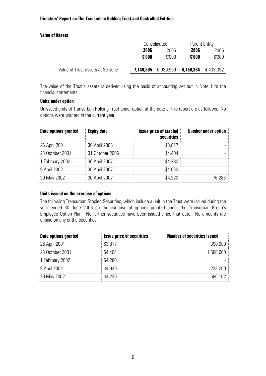#### **Value of Assets**

|                                  | Consolidated |           | <b>Parent Entity</b> |           |      |
|----------------------------------|--------------|-----------|----------------------|-----------|------|
|                                  | 2006<br>2005 |           | 2006                 |           | 2005 |
|                                  | \$'000       | \$'000    | \$'000               | \$'000    |      |
|                                  |              |           |                      |           |      |
| Value of Trust assets at 30 June | 7,149,605    | 6,930,959 | 4,756,864            | 4,433,352 |      |

The value of the Trust's assets is derived using the basis of accounting set out in Note 1 to the financial statements.

#### **Units under option**

Unissued units of Transurban Holding Trust under option at the date of this report are as follows. No options were granted in the current year.

| <b>Date options granted</b> | <b>Expiry date</b> | <b>Issue price of stapled</b><br>securities | <b>Number under option</b> |
|-----------------------------|--------------------|---------------------------------------------|----------------------------|
| 26 April 2001               | 30 April 2006      | \$3.817                                     |                            |
| 23 October 2001             | 31 October 2006    | \$4.404                                     |                            |
| 1 February 2002             | 30 April 2007      | \$4.280                                     |                            |
| 9 April 2002                | 30 April 2007      | \$4.030                                     |                            |
| 20 May 2002                 | 30 April 2007      | \$4.220                                     | 76,283                     |

#### **Units issued on the exercise of options**

The following Transurban Stapled Securities, which include a unit in the Trust were issued during the year ended 30 June 2006 on the exercise of options granted under the Transurban Group's Employee Option Plan. No further securities have been issued since that date. No amounts are unpaid on any of the securities

| <b>Date options granted</b> | <b>Issue price of securities</b> | <b>Number of securities issued</b> |
|-----------------------------|----------------------------------|------------------------------------|
| 26 April 2001               | \$3.817                          | 390,000                            |
| 23 October 2001             | \$4.404                          | 1,500,000                          |
| 1 February 2002             | \$4.280                          |                                    |
| 9 April 2002                | \$4.030                          | 223,200                            |
| 20 May 2002                 | \$4.220                          | 586,102                            |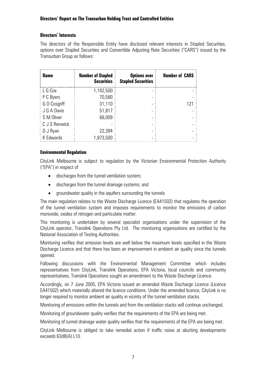#### **Directors' Interests**

The directors of the Responsible Entity have disclosed relevant interests in Stapled Securities, options over Stapled Securities and Convertible Adjusting Rate Securities ("CARS") issued by the Transurban Group as follows:

| <b>Name</b>   | <b>Number of Stapled</b><br><b>Securities</b> | <b>Options over</b><br><b>Stapled Securities</b> | <b>Number of CARS</b> |
|---------------|-----------------------------------------------|--------------------------------------------------|-----------------------|
| L G Cox       | 1,142,500                                     |                                                  |                       |
| P C Byers     | 70,580                                        |                                                  |                       |
| G O Cosgriff  | 31,110                                        |                                                  | 121                   |
| J G A Davis   | 51,817                                        |                                                  |                       |
| S M Oliver    | 68,009                                        |                                                  |                       |
| C J S Renwick |                                               |                                                  |                       |
| D J Ryan      | 22,394                                        |                                                  |                       |
| K Edwards     | 1,873,500                                     |                                                  |                       |

#### **Environmental Regulation**

CityLink Melbourne is subject to regulation by the Victorian Environmental Protection Authority ("EPA") in respect of

- discharges from the tunnel ventilation system;
- discharges from the tunnel drainage systems; and
- groundwater quality in the aquifers surrounding the tunnels

The main regulation relates to the Waste Discharge Licence (EA41502) that regulates the operation of the tunnel ventilation system and imposes requirements to monitor the emissions of carbon monoxide, oxides of nitrogen and particulate matter.

This monitoring is undertaken by several specialist organisations under the supervision of the CityLink operator, Translink Operations Pty Ltd. The monitoring organisations are certified by the National Association of Testing Authorities.

Monitoring verifies that emission levels are well below the maximum levels specified in the Waste Discharge Licence and that there has been an improvement in ambient air quality since the tunnels opened.

Following discussions with the Environmental Management Committee which includes representatives from CityLink, Translink Operations, EPA Victoria, local councils and community representatives, Translink Operations sought an amendment to the Waste Discharge Licence.

Accordingly, on 7 June 2005, EPA Victoria issued an amended Waste Discharge Licence (Licence EA41502) which materially altered the licence conditions. Under the amended licence, CityLink is no longer required to monitor ambient air quality in vicinity of the tunnel ventilation stacks.

Monitoring of emissions within the tunnels and from the ventilation stacks will continue unchanged.

Monitoring of groundwater quality verifies that the requirements of the EPA are being met.

Monitoring of tunnel drainage water quality verifies that the requirements of the EPA are being met.

CityLink Melbourne is obliged to take remedial action if traffic noise at abutting developments exceeds 63dB(A) L10.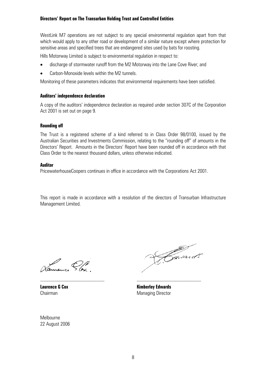WestLink M7 operations are not subject to any special environmental regulation apart from that which would apply to any other road or development of a similar nature except where protection for sensitive areas and specified trees that are endangered sites used by bats for roosting.

Hills Motorway Limited is subject to environmental regulation in respect to:

- discharge of stormwater runoff from the M2 Motorway into the Lane Cove River; and
- Carbon-Monoxide levels within the M2 tunnels.

Monitoring of these parameters indicates that environmental requirements have been satisfied.

#### **Auditors' independence declaration**

A copy of the auditors' independence declaration as required under section 307C of the Corporation Act 2001 is set out on page 9.

#### **Rounding off**

The Trust is a registered scheme of a kind referred to in Class Order 98/0100, issued by the Australian Securities and Investments Commission, relating to the "rounding off" of amounts in the Directors' Report. Amounts in the Directors' Report have been rounded off in accordance with that Class Order to the nearest thousand dollars, unless otherwise indicated.

#### **Auditor**

PricewaterhouseCoopers continues in office in accordance with the Corporations Act 2001.

This report is made in accordance with a resolution of the directors of Transurban Infrastructure Management Limited.

Vanneure Plax

Kavard s

**Laurence G Cox Kimberley Edwards**  Chairman Managing Director

Melbourne 22 August 2006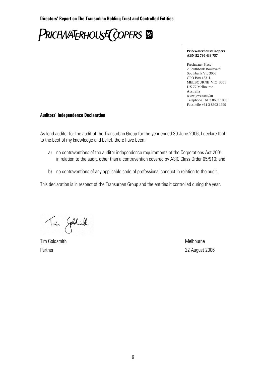**PRICEWATERHOUSE COPERS** 

#### **PricewaterhouseCoopers ABN 52 780 433 757**

Freshwater Place 2 Southbank Boulevard Southbank Vic 3006 GPO Box 1331L MELBOURNE VIC 3001 DX 77 Melbourne Australia www.pwc.com/au Telephone +61 3 8603 1000 Facsimile +61 3 8603 1999

#### **Auditors' Independence Declaration**

As lead auditor for the audit of the Transurban Group for the year ended 30 June 2006, I declare that to the best of my knowledge and belief, there have been:

- a) no contraventions of the auditor independence requirements of the Corporations Act 2001 in relation to the audit, other than a contravention covered by ASIC Class Order 05/910; and
- b) no contraventions of any applicable code of professional conduct in relation to the audit.

This declaration is in respect of the Transurban Group and the entities it controlled during the year.

Tin Goldwill

Tim Goldsmith Melbourne

Partner 22 August 2006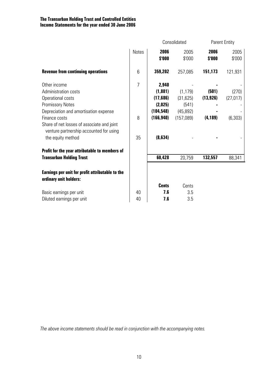|                                                                                       |                |                | Consolidated   | <b>Parent Entity</b> |                |
|---------------------------------------------------------------------------------------|----------------|----------------|----------------|----------------------|----------------|
|                                                                                       | Notes          | 2006<br>\$'000 | 2005<br>\$'000 | 2006<br>\$'000       | 2005<br>\$'000 |
| <b>Revenue from continuing operations</b>                                             | 6              | 359,202        | 257,085        | 151,173              | 121,931        |
| Other income                                                                          | $\overline{7}$ | 2,940          |                |                      |                |
| Administration costs                                                                  |                | (1,881)        | (1, 179)       | (501)                | (270)          |
| Operational costs                                                                     |                | (17,686)       | (31, 625)      | (13, 926)            | (27, 017)      |
| <b>Promissory Notes</b>                                                               |                | (2,025)        | (541)          |                      |                |
| Depreciation and amortisation expense                                                 |                | (104, 548)     | (45, 892)      |                      |                |
| Finance costs                                                                         | 8              | (166, 940)     | (157,089)      | (4, 189)             | (6, 303)       |
| Share of net losses of associate and joint<br>venture partnership accounted for using |                |                |                |                      |                |
| the equity method                                                                     | 35             | (8, 634)       |                |                      |                |
| Profit for the year attributable to members of                                        |                |                |                |                      |                |
| <b>Transurban Holding Trust</b>                                                       |                | 60,428         | 20,759         | 132,557              | 88,341         |
| Earnings per unit for profit attributable to the<br>ordinary unit holders:            |                |                |                |                      |                |
|                                                                                       |                | <b>Cents</b>   | Cents          |                      |                |
| Basic earnings per unit                                                               | 40             | 7.6            | 3.5            |                      |                |
| Diluted earnings per unit                                                             | 40             | 7.6            | 3.5            |                      |                |

*The above income statements should be read in conjunction with the accompanying notes.*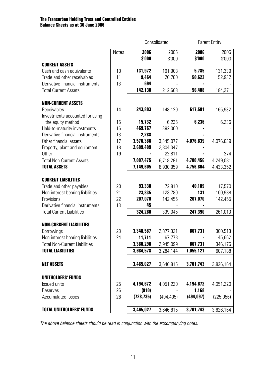|                                      | Consolidated |                | <b>Parent Entity</b> |                |                |
|--------------------------------------|--------------|----------------|----------------------|----------------|----------------|
|                                      | <b>Notes</b> | 2006<br>\$'000 | 2005<br>\$'000       | 2006<br>\$'000 | 2005<br>\$'000 |
| <b>CURRENT ASSETS</b>                |              |                |                      |                |                |
| Cash and cash equivalents            | 10           | 131,972        | 191,908              | 5,785          | 131,339        |
| Trade and other receivables          | 11           | 9,464          | 20,760               | 50,623         | 52,932         |
| Derivative financial instruments     | 13           | 694            |                      |                |                |
| <b>Total Current Assets</b>          |              | 142,130        | 212,668              | 56,408         | 184,271        |
| <b>NON-CURRENT ASSETS</b>            |              |                |                      |                |                |
| Receivables                          | 14           | 243,803        | 148,120              | 617,581        | 165,932        |
| Investments accounted for using      |              |                |                      |                |                |
| the equity method                    | 15           | 15,732         | 6,236                | 6,236          | 6,236          |
| Held-to-maturity investments         | 16           | 469,767        | 392,000              |                |                |
| Derivative financial instruments     | 13           | 2,288          |                      |                |                |
| Other financial assets               | 17           | 3,576,386      | 3,345,077            | 4,076,639      | 4,076,639      |
| Property, plant and equipment        | 18           | 2,699,499      | 2,804,047            |                |                |
| Other                                | 19           |                | 22,811               |                | 274            |
| <b>Total Non-Current Assets</b>      |              | 7,007,475      | 6,718,291            | 4,700,456      | 4,249,081      |
| <b>TOTAL ASSETS</b>                  |              | 7,149,605      | 6,930,959            | 4,756,864      | 4,433,352      |
| <b>CURRENT LIABILITIES</b>           |              |                |                      |                |                |
| Trade and other payables             | 20           | 93,330         | 72,810               | 40,189         | 17,570         |
| Non-interest bearing liabilities     | 21           | 23,835         | 123,780              | 131            | 100,988        |
| Provisions                           | 22           | 207,070        | 142,455              | 207,070        | 142,455        |
| Derivative financial instruments     | 13           | 45             |                      |                |                |
| <b>Total Current Liabilities</b>     |              | 324,280        | 339,045              | 247,390        | 261,013        |
| <b>NON-CURRENT LIABILITIES</b>       |              |                |                      |                |                |
| Borrowings                           | 23           | 3,348,587      | 2,877,321            | 807,731        | 300,513        |
| Non-interest bearing liabilities     | 24           | 11,711         | 67,778               |                | 45,662         |
| <b>Total Non-Current Liabilities</b> |              | 3,360,298      | 2,945,099            | 807,731        | 346,175        |
| <b>TOTAL LIABILITIES</b>             |              | 3,684,578      | 3,284,144            | 1,055,121      | 607,188        |
| <b>NET ASSETS</b>                    |              | 3,465,027      | 3,646,815            | 3,701,743      | 3,826,164      |
| <b>UNITHOLDERS' FUNDS</b>            |              |                |                      |                |                |
| Issued units                         | 25           | 4,194,672      | 4,051,220            | 4,194,672      | 4,051,220      |
| Reserves                             | 26           | (910)          |                      | 1,168          |                |
| <b>Accumulated losses</b>            | 26           | (728, 735)     | (404, 405)           | (494, 097)     | (225,056)      |
| <b>TOTAL UNITHOLDERS' FUNDS</b>      |              | 3,465,027      | 3,646,815            | 3,701,743      | 3,826,164      |

*The above balance sheets should be read in conjunction with the accompanying notes.*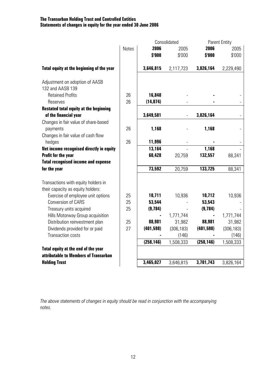# **The Transurban Holding Trust and Controlled Entities Statements of changes in equity for the year ended 30 June 2006**

|                                                                          |       |            | Consolidated |            | <b>Parent Entity</b> |
|--------------------------------------------------------------------------|-------|------------|--------------|------------|----------------------|
|                                                                          | Notes | 2006       | 2005         | 2006       | 2005                 |
|                                                                          |       | \$'000     | \$'000       | \$'000     | \$'000               |
| Total equity at the beginning of the year                                |       | 3,646,815  | 2,117,723    | 3,826,164  | 2,229,490            |
| Adjustment on adoption of AASB<br>132 and AASB 139                       |       |            |              |            |                      |
| <b>Retained Profits</b>                                                  | 26    | 16,840     |              |            |                      |
| Reserves                                                                 | 26    | (14, 074)  |              |            |                      |
| <b>Restated total equity at the beginning</b>                            |       |            |              |            |                      |
| of the financial year                                                    |       | 3,649,581  |              | 3,826,164  |                      |
| Changes in fair value of share-based                                     |       |            |              |            |                      |
| payments                                                                 | 26    | 1,168      |              | 1,168      |                      |
| Changes in fair value of cash flow                                       |       |            |              |            |                      |
| hedges                                                                   | 26    | 11,996     |              |            |                      |
| Net income recognised directly in equity                                 |       | 13,164     |              | 1,168      |                      |
| <b>Profit for the year</b>                                               |       | 60,428     | 20,759       | 132,557    | 88,341               |
| <b>Total recognised income and expense</b>                               |       |            |              |            |                      |
| for the year                                                             |       | 73,592     | 20,759       | 133,725    | 88,341               |
| Transactions with equity holders in<br>their capacity as equity holders: |       |            |              |            |                      |
| Exercise of employee unit options                                        | 25    | 10,711     | 10,936       | 10,712     | 10,936               |
| <b>Conversion of CARS</b>                                                | 25    | 53,544     |              | 53,543     |                      |
| Treasury units acquired                                                  | 25    | (9,784)    |              | (9, 784)   |                      |
| Hills Motorway Group acquisition                                         |       |            | 1,771,744    |            | 1,771,744            |
| Distribution reinvestment plan                                           | 25    | 88,981     | 31,982       | 88,981     | 31,982               |
| Dividends provided for or paid                                           | 27    | (401, 598) | (306, 183)   | (401, 598) | (306, 183)           |
| <b>Transaction costs</b>                                                 |       |            | (146)        |            | (146)                |
|                                                                          |       | (258, 146) | 1,508,333    | (258, 146) | 1,508,333            |
| Total equity at the end of the year                                      |       |            |              |            |                      |
| attributable to Members of Transurban                                    |       |            |              |            |                      |
| <b>Holding Trust</b>                                                     |       | 3,465,027  | 3,646,815    | 3,701,743  | 3,826,164            |

*The above statements of changes in equity should be read in conjunction with the accompanying notes.*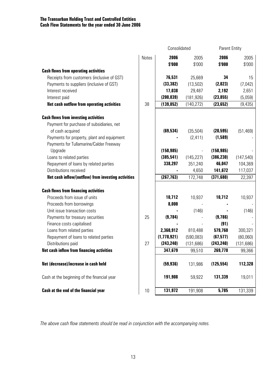# **The Transurban Holding Trust and Controlled Entities Cash Flow Statements for the year ended 30 June 2006**

|                                                     | Consolidated |             |            | <b>Parent Entity</b> |            |  |
|-----------------------------------------------------|--------------|-------------|------------|----------------------|------------|--|
|                                                     | Notes        | 2006        | 2005       | 2006                 | 2005       |  |
|                                                     |              | \$'000      | \$'000     | \$'000               | \$'000     |  |
| <b>Cash flows from operating activities</b>         |              |             |            |                      |            |  |
| Receipts from customers (inclusive of GST)          |              | 76,531      | 25,669     | 34                   | 15         |  |
| Payments to suppliers (inclusive of GST)            |              | (33, 382)   | (13, 502)  | (2,023)              | (7,042)    |  |
| Interest received                                   |              | 17,038      | 29,487     | 2,192                | 2,651      |  |
| Interest paid                                       |              | (200, 039)  | (181, 926) | (23, 855)            | (5,059)    |  |
| <b>Net cash outflow from operating activities</b>   | 38           | (139, 852)  | (140, 272) | (23, 652)            | (9, 435)   |  |
| <b>Cash flows from investing activities</b>         |              |             |            |                      |            |  |
| Payment for purchase of subsidiaries, net           |              |             |            |                      |            |  |
| of cash acquired                                    |              | (69, 534)   | (35, 504)  | (20, 595)            | (51, 469)  |  |
| Payments for property, plant and equipment          |              |             | (2, 411)   | (1,589)              |            |  |
| Payments for Tullamarine/Calder Freeway             |              |             |            |                      |            |  |
| Upgrade                                             |              | (150, 985)  |            | (150, 985)           |            |  |
| Loans to related parties                            |              | (385, 541)  | (145, 227) | (386, 230)           | (147, 540) |  |
| Repayment of loans by related parties               |              | 338,297     | 351,240    | 46,047               | 104,369    |  |
| Distributions received                              |              |             | 4,650      | 141,672              | 117,037    |  |
| Net cash inflow/(outflow) from investing activities |              | (267, 763)  | 172,748    | (371, 680)           | 22,397     |  |
| <b>Cash flows from financing activities</b>         |              |             |            |                      |            |  |
| Proceeds from issue of units                        |              | 10,712      | 10,937     | 10,712               | 10,937     |  |
| Proceeds from borrowings                            |              | 8,000       |            |                      |            |  |
| Unit issue transaction costs                        |              |             | (146)      |                      | (146)      |  |
| Payments for treasury securities                    | 25           | (9,784)     |            | (9,786)              |            |  |
| Finance costs capitalised                           |              |             |            | (91)                 |            |  |
| Loans from related parties                          |              | 2,360,912   | 810,488    | 579,760              | 300,321    |  |
| Repayment of loans to related parties               |              | (1,778,921) | (590, 083) | (67, 577)            | (80,060)   |  |
| Distributions paid                                  | 27           | (243, 240)  | (131, 686) | (243, 240)           | (131, 686) |  |
| <b>Net cash inflow from financing activities</b>    |              | 347,679     | 99,510     | 269,778              | 99,366     |  |
| Net (decrease)/increase in cash held                |              | (59, 936)   | 131,986    | (125, 554)           | 112,328    |  |
| Cash at the beginning of the financial year         |              | 191,908     | 59,922     | 131,339              | 19,011     |  |
| Cash at the end of the financial year               | 10           | 131,972     | 191,908    | 5,785                | 131,339    |  |

*The above cash flow statements should be read in conjunction with the accompanying notes.*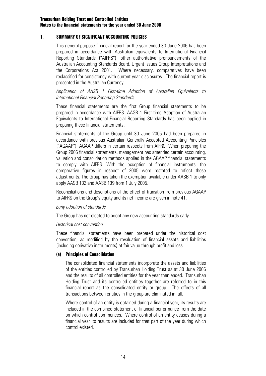#### **1. SUMMARY OF SIGNIFICANT ACCOUNTING POLICIES**

This general purpose financial report for the year ended 30 June 2006 has been prepared in accordance with Australian equivalents to International Financial Reporting Standards ("AIFRS"), other authoritative pronouncements of the Australian Accounting Standards Board, Urgent Issues Group Interpretations and the Corporations Act 2001. Where necessary, comparatives have been reclassified for consistency with current year disclosures. The financial report is presented in the Australian Currency.

#### *Application of AASB 1 First-time Adoption of Australian Equivalents to International Financial Reporting Standards*

These financial statements are the first Group financial statements to be prepared in accordance with AIFRS. AASB 1 First-time Adoption of Australian Equivalents to International Financial Reporting Standards has been applied in preparing these financial statements.

Financial statements of the Group until 30 June 2005 had been prepared in accordance with previous Australian Generally Accepted Accounting Principles ("AGAAP"). AGAAP differs in certain respects from AIFRS. When preparing the Group 2006 financial statements, management has amended certain accounting, valuation and consolidation methods applied in the AGAAP financial statements to comply with AIFRS. With the exception of financial instruments, the comparative figures in respect of 2005 were restated to reflect these adjustments. The Group has taken the exemption available under AASB 1 to only apply AASB 132 and AASB 139 from 1 July 2005.

Reconciliations and descriptions of the effect of transition from previous AGAAP to AIFRS on the Group's equity and its net income are given in note 41.

#### *Early adoption of standards*

The Group has not elected to adopt any new accounting standards early.

#### *Historical cost convention*

These financial statements have been prepared under the historical cost convention, as modified by the revaluation of financial assets and liabilities (including derivative instruments) at fair value through profit and loss.

#### **(a) Principles of Consolidation**

The consolidated financial statements incorporate the assets and liabilities of the entities controlled by Transurban Holding Trust as at 30 June 2006 and the results of all controlled entities for the year then ended. Transurban Holding Trust and its controlled entities together are referred to in this financial report as the consolidated entity or group. The effects of all transactions between entities in the group are eliminated in full.

Where control of an entity is obtained during a financial year, its results are included in the combined statement of financial performance from the date on which control commences. Where control of an entity ceases during a financial year its results are included for that part of the year during which control existed.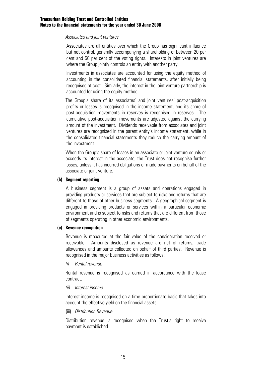#### *Associates and joint ventures*

Associates are all entities over which the Group has significant influence but not control, generally accompanying a shareholding of between 20 per cent and 50 per cent of the voting rights. Interests in joint ventures are where the Group jointly controls an entity with another party.

Investments in associates are accounted for using the equity method of accounting in the consolidated financial statements, after initially being recognised at cost. Similarly, the interest in the joint venture partnership is accounted for using the equity method.

The Group's share of its associates' and joint ventures' post-acquisition profits or losses is recognised in the income statement, and its share of post-acquisition movements in reserves is recognised in reserves. The cumulative post-acquisition movements are adjusted against the carrying amount of the investment. Dividends receivable from associates and joint ventures are recognised in the parent entity's income statement, while in the consolidated financial statements they reduce the carrying amount of the investment.

 When the Group's share of losses in an associate or joint venture equals or exceeds its interest in the associate, the Trust does not recognise further losses, unless it has incurred obligations or made payments on behalf of the associate or joint venture.

#### **(b) Segment reporting**

A business segment is a group of assets and operations engaged in providing products or services that are subject to risks and returns that are different to those of other business segments. A geographical segment is engaged in providing products or services within a particular economic environment and is subject to risks and returns that are different from those of segments operating in other economic environments.

#### **(c) Revenue recognition**

Revenue is measured at the fair value of the consideration received or receivable. Amounts disclosed as revenue are net of returns, trade allowances and amounts collected on behalf of third parties. Revenue is recognised in the major business activities as follows:

#### *(i) Rental revenue*

Rental revenue is recognised as earned in accordance with the lease contract.

#### *(ii) Interest income*

Interest income is recognised on a time proportionate basis that takes into account the effective yield on the financial assets.

#### (iii) *Distribution Revenue*

Distribution revenue is recognised when the Trust's right to receive payment is established.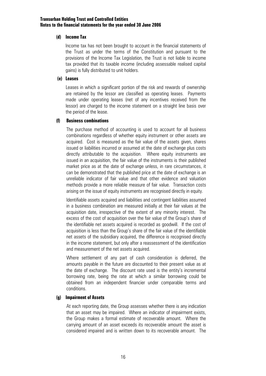#### **(d) Income Tax**

 Income tax has not been brought to account in the financial statements of the Trust as under the terms of the Constitution and pursuant to the provisions of the Income Tax Legislation, the Trust is not liable to income tax provided that its taxable income (including assessable realised capital gains) is fully distributed to unit holders.

#### **(e) Leases**

Leases in which a significant portion of the risk and rewards of ownership are retained by the lessor are classified as operating leases. Payments made under operating leases (net of any incentives received from the lessor) are charged to the income statement on a straight line basis over the period of the lease.

#### **(f) Business combinations**

 The purchase method of accounting is used to account for all business combinations regardless of whether equity instrument or other assets are acquired. Cost is measured as the fair value of the assets given, shares issued or liabilities incurred or assumed at the date of exchange plus costs directly attributable to the acquisition. Where equity instruments are issued in an acquisition, the fair value of the instruments is their published market price as at the date of exchange unless, in rare circumstances, it can be demonstrated that the published price at the date of exchange is an unreliable indicator of fair value and that other evidence and valuation methods provide a more reliable measure of fair value. Transaction costs arising on the issue of equity instruments are recognised directly in equity.

 Identifiable assets acquired and liabilities and contingent liabilities assumed in a business combination are measured initially at their fair values at the acquisition date, irrespective of the extent of any minority interest. The excess of the cost of acquisition over the fair value of the Group's share of the identifiable net assets acquired is recorded as goodwill. If the cost of acquisition is less than the Group's share of the fair value of the identifiable net assets of the subsidiary acquired, the difference is recognised directly in the income statement, but only after a reassessment of the identification and measurement of the net assets acquired.

 Where settlement of any part of cash consideration is deferred, the amounts payable in the future are discounted to their present value as at the date of exchange. The discount rate used is the entity's incremental borrowing rate, being the rate at which a similar borrowing could be obtained from an independent financier under comparable terms and conditions.

#### **(g) Impairment of Assets**

At each reporting date, the Group assesses whether there is any indication that an asset may be impaired. Where an indicator of impairment exists, the Group makes a formal estimate of recoverable amount. Where the carrying amount of an asset exceeds its recoverable amount the asset is considered impaired and is written down to its recoverable amount. The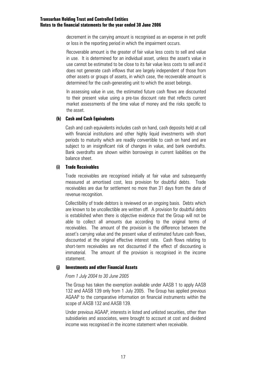decrement in the carrying amount is recognised as an expense in net profit or loss in the reporting period in which the impairment occurs.

Recoverable amount is the greater of fair value less costs to sell and value in use. It is determined for an individual asset, unless the asset's value in use cannot be estimated to be close to its fair value less costs to sell and it does not generate cash inflows that are largely independent of those from other assets or groups of assets, in which case, the recoverable amount is determined for the cash-generating unit to which the asset belongs.

In assessing value in use, the estimated future cash flows are discounted to their present value using a pre-tax discount rate that reflects current market assessments of the time value of money and the risks specific to the asset.

#### **(h) Cash and Cash Equivalents**

Cash and cash equivalents includes cash on hand, cash deposits held at call with financial institutions and other highly liquid investments with short periods to maturity which are readily convertible to cash on hand and are subject to an insignificant risk of changes in value, and bank overdrafts. Bank overdrafts are shown within borrowings in current liabilities on the balance sheet.

#### **(i) Trade Receivables**

Trade receivables are recognised initially at fair value and subsequently measured at amortised cost, less provision for doubtful debts. Trade receivables are due for settlement no more than 31 days from the date of revenue recognition.

Collectibility of trade debtors is reviewed on an ongoing basis. Debts which are known to be uncollectible are written off. A provision for doubtful debts is established when there is objective evidence that the Group will not be able to collect all amounts due according to the original terms of receivables. The amount of the provision is the difference between the asset's carrying value and the present value of estimated future cash flows, discounted at the original effective interest rate. Cash flows relating to short-term receivables are not discounted if the effect of discounting is immaterial. The amount of the provision is recognised in the income statement.

#### **(j) Investments and other Financial Assets**

#### *From 1 July 2004 to 30 June 2005*

The Group has taken the exemption available under AASB 1 to apply AASB 132 and AASB 139 only from 1 July 2005. The Group has applied previous AGAAP to the comparative information on financial instruments within the scope of AASB 132 and AASB 139.

Under previous AGAAP, interests in listed and unlisted securities, other than subsidiaries and associates, were brought to account at cost and dividend income was recognised in the income statement when receivable.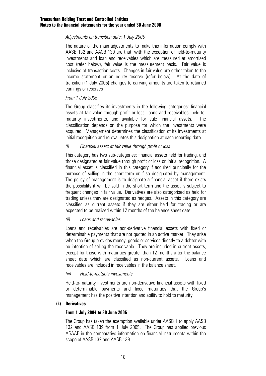#### *Adjustments on transition date: 1 July 2005*

The nature of the main adjustments to make this information comply with AASB 132 and AASB 139 are that, with the exception of held-to-maturity investments and loan and receivables which are measured at amortised cost (refer below), fair value is the measurement basis. Fair value is inclusive of transaction costs. Changes in fair value are either taken to the income statement or an equity reserve (refer below). At the date of transition (1 July 2005) changes to carrying amounts are taken to retained earnings or reserves

#### *From 1 July 2005*

The Group classifies its investments in the following categories: financial assets at fair value through profit or loss, loans and receivables, held-tomaturity investments, and available for sale financial assets. The classification depends on the purpose for which the investments were acquired. Management determines the classification of its investments at initial recognition and re-evaluates this designation at each reporting date.

#### *(i) Financial assets at fair value through profit or loss*

This category has two sub-categories: financial assets held for trading, and those designated at fair value through profit or loss on initial recognition. A financial asset is classified in this category if acquired principally for the purpose of selling in the short-term or if so designated by management. The policy of management is to designate a financial asset if there exists the possibility it will be sold in the short term and the asset is subject to frequent changes in fair value. Derivatives are also categorised as held for trading unless they are designated as hedges. Assets in this category are classified as current assets if they are either held for trading or are expected to be realised within 12 months of the balance sheet date.

#### *(ii) Loans and receivables*

Loans and receivables are non-derivative financial assets with fixed or determinable payments that are not quoted in an active market. They arise when the Group provides money, goods or services directly to a debtor with no intention of selling the receivable. They are included in current assets, except for those with maturities greater than 12 months after the balance sheet date which are classified as non-current assets. Loans and receivables are included in receivables in the balance sheet.

#### *(iii) Held-to-maturity investments*

Held-to-maturity investments are non-derivative financial assets with fixed or determinable payments and fixed maturities that the Group's management has the positive intention and ability to hold to maturity.

#### **(k) Derivatives**

#### **From 1 July 2004 to 30 June 2005**

The Group has taken the exemption available under AASB 1 to apply AASB 132 and AASB 139 from 1 July 2005. The Group has applied previous AGAAP in the comparative information on financial instruments within the scope of AASB 132 and AASB 139.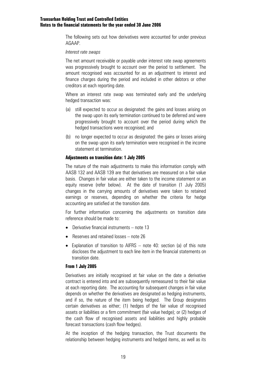The following sets out how derivatives were accounted for under previous AGAAP.

#### *Interest rate swaps*

The net amount receivable or payable under interest rate swap agreements was progressively brought to account over the period to settlement. The amount recognised was accounted for as an adjustment to interest and finance charges during the period and included in other debtors or other creditors at each reporting date.

Where an interest rate swap was terminated early and the underlying hedged transaction was:

- (a) still expected to occur as designated: the gains and losses arising on the swap upon its early termination continued to be deferred and were progressively brought to account over the period during which the hedged transactions were recognised; and
- (b) no longer expected to occur as designated: the gains or losses arising on the swap upon its early termination were recognised in the income statement at termination.

#### **Adjustments on transition date: 1 July 2005**

The nature of the main adjustments to make this information comply with AASB 132 and AASB 139 are that derivatives are measured on a fair value basis. Changes in fair value are either taken to the income statement or an equity reserve (refer below). At the date of transition (1 July 2005) changes in the carrying amounts of derivatives were taken to retained earnings or reserves, depending on whether the criteria for hedge accounting are satisfied at the transition date.

For further information concerning the adjustments on transition date reference should be made to:

- Derivative financial instruments note 13
- Reserves and retained losses note 26
- Explanation of transition to AIFRS note 40: section (a) of this note discloses the adjustment to each line item in the financial statements on transition date.

#### **From 1 July 2005**

Derivatives are initially recognised at fair value on the date a derivative contract is entered into and are subsequently remeasured to their fair value at each reporting date. The accounting for subsequent changes in fair value depends on whether the derivatives are designated as hedging instruments, and if so, the nature of the item being hedged. The Group designates certain derivatives as either; (1) hedges of the fair value of recognised assets or liabilities or a firm commitment (fair value hedge); or (2) hedges of the cash flow of recognised assets and liabilities and highly probable forecast transactions (cash flow hedges).

At the inception of the hedging transaction, the Trust documents the relationship between hedging instruments and hedged items, as well as its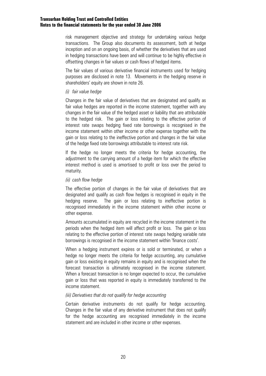risk management objective and strategy for undertaking various hedge transactions. The Group also documents its assessment, both at hedge inception and on an ongoing basis, of whether the derivatives that are used in hedging transactions have been and will continue to be highly effective in offsetting changes in fair values or cash flows of hedged items.

The fair values of various derivative financial instruments used for hedging purposes are disclosed in note 13. Movements in the hedging reserve in shareholders' equity are shown in note 26.

#### *(i) fair value hedge*

Changes in the fair value of derivatives that are designated and qualify as fair value hedges are reported in the income statement, together with any changes in the fair value of the hedged asset or liability that are attributable to the hedged risk. The gain or loss relating to the effective portion of interest rate swaps hedging fixed rate borrowings is recognised in the income statement within other income or other expense together with the gain or loss relating to the ineffective portion and changes in the fair value of the hedge fixed rate borrowings attributable to interest rate risk.

If the hedge no longer meets the criteria for hedge accounting, the adjustment to the carrying amount of a hedge item for which the effective interest method is used is amortised to profit or loss over the period to maturity.

#### *(ii) cash flow hedge*

The effective portion of changes in the fair value of derivatives that are designated and qualify as cash flow hedges is recognised in equity in the hedging reserve. The gain or loss relating to ineffective portion is recognised immediately in the income statement within other income or other expense.

Amounts accumulated in equity are recycled in the income statement in the periods when the hedged item will affect profit or loss. The gain or loss relating to the effective portion of interest rate swaps hedging variable rate borrowings is recognised in the income statement within 'finance costs'.

When a hedging instrument expires or is sold or terminated, or when a hedge no longer meets the criteria for hedge accounting, any cumulative gain or loss existing in equity remains in equity and is recognised when the forecast transaction is ultimately recognised in the income statement. When a forecast transaction is no longer expected to occur, the cumulative gain or loss that was reported in equity is immediately transferred to the income statement.

#### *(iii) Derivatives that do not qualify for hedge accounting*

Certain derivative instruments do not qualify for hedge accounting. Changes in the fair value of any derivative instrument that does not qualify for the hedge accounting are recognised immediately in the income statement and are included in other income or other expenses.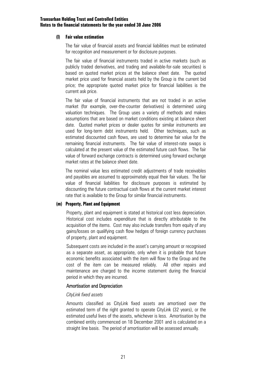#### **(l) Fair value estimation**

The fair value of financial assets and financial liabilities must be estimated for recognition and measurement or for disclosure purposes.

The fair value of financial instruments traded in active markets (such as publicly traded derivatives, and trading and available-for-sale securities) is based on quoted market prices at the balance sheet date. The quoted market price used for financial assets held by the Group is the current bid price; the appropriate quoted market price for financial liabilities is the current ask price.

The fair value of financial instruments that are not traded in an active market (for example, over-the-counter derivatives) is determined using valuation techniques. The Group uses a variety of methods and makes assumptions that are based on market conditions existing at balance sheet date. Quoted market prices or dealer quotes for similar instruments are used for long-term debt instruments held. Other techniques, such as estimated discounted cash flows, are used to determine fair value for the remaining financial instruments. The fair value of interest-rate swaps is calculated at the present value of the estimated future cash flows. The fair value of forward exchange contracts is determined using forward exchange market rates at the balance sheet date.

The nominal value less estimated credit adjustments of trade receivables and payables are assumed to approximately equal their fair values. The fair value of financial liabilities for disclosure purposes is estimated by discounting the future contractual cash flows at the current market interest rate that is available to the Group for similar financial instruments.

#### **(m) Property, Plant and Equipment**

Property, plant and equipment is stated at historical cost less depreciation. Historical cost includes expenditure that is directly attributable to the acquisition of the items. Cost may also include transfers from equity of any gains/losses on qualifying cash flow hedges of foreign currency purchases of property, plant and equipment.

Subsequent costs are included in the asset's carrying amount or recognised as a separate asset, as appropriate, only when it is probable that future economic benefits associated with the item will flow to the Group and the cost of the item can be measured reliably. All other repairs and maintenance are charged to the income statement during the financial period in which they are incurred.

#### Amortisation and Depreciation

#### *CityLink fixed assets*

Amounts classified as CityLink fixed assets are amortised over the estimated term of the right granted to operate CityLink (32 years), or the estimated useful lives of the assets, whichever is less. Amortisation by the combined entity commenced on 18 December 2001 and is calculated on a straight line basis. The period of amortisation will be assessed annually.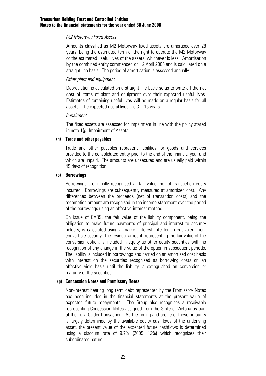#### *M2 Motorway Fixed Assets*

Amounts classified as M2 Motorway fixed assets are amortised over 28 years, being the estimated term of the right to operate the M2 Motorway or the estimated useful lives of the assets, whichever is less. Amortisation by the combined entity commenced on 12 April 2005 and is calculated on a straight line basis. The period of amortisation is assessed annually.

#### *Other plant and equipment*

Depreciation is calculated on a straight line basis so as to write off the net cost of items of plant and equipment over their expected useful lives. Estimates of remaining useful lives will be made on a regular basis for all assets. The expected useful lives are 3 – 15 years.

#### *Impairment*

The fixed assets are assessed for impairment in line with the policy stated in note 1(g) Impairment of Assets.

#### **(n) Trade and other payables**

Trade and other payables represent liabilities for goods and services provided to the consolidated entity prior to the end of the financial year and which are unpaid. The amounts are unsecured and are usually paid within 45 days of recognition.

#### **(o) Borrowings**

Borrowings are initially recognised at fair value, net of transaction costs incurred. Borrowings are subsequently measured at amortised cost. Any differences between the proceeds (net of transaction costs) and the redemption amount are recognised in the income statement over the period of the borrowings using an effective interest method.

On issue of CARS, the fair value of the liability component, being the obligation to make future payments of principal and interest to security holders, is calculated using a market interest rate for an equivalent nonconvertible security. The residual amount, representing the fair value of the conversion option, is included in equity as other equity securities with no recognition of any change in the value of the option in subsequent periods. The liability is included in borrowings and carried on an amortised cost basis with interest on the securities recognised as borrowing costs on an effective yield basis until the liability is extinguished on conversion or maturity of the securities.

#### **(p) Concession Notes and Promissory Notes**

Non-interest bearing long term debt represented by the Promissory Notes has been included in the financial statements at the present value of expected future repayments. The Group also recognises a receivable representing Concession Notes assigned from the State of Victoria as part of the Tulla-Calder transaction. As the timing and profile of these amounts is largely determined by the available equity cashflows of the underlying asset, the present value of the expected future cashflows is determined using a discount rate of 9.7% (2005: 12%) which recognises their subordinated nature.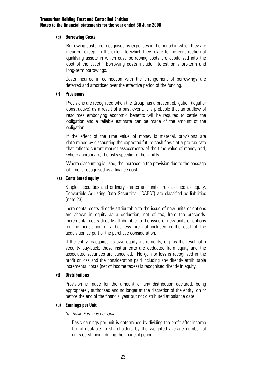#### **(q) Borrowing Costs**

Borrowing costs are recognised as expenses in the period in which they are incurred, except to the extent to which they relate to the construction of qualifying assets in which case borrowing costs are capitalised into the cost of the asset. Borrowing costs include interest on short-term and long-term borrowings.

 Costs incurred in connection with the arrangement of borrowings are deferred and amortised over the effective period of the funding.

#### **(r) Provisions**

Provisions are recognised when the Group has a present obligation (legal or constructive) as a result of a past event, it is probable that an outflow of resources embodying economic benefits will be required to settle the obligation and a reliable estimate can be made of the amount of the obligation.

If the effect of the time value of money is material, provisions are determined by discounting the expected future cash flows at a pre-tax rate that reflects current market assessments of the time value of money and, where appropriate, the risks specific to the liability.

Where discounting is used, the increase in the provision due to the passage of time is recognised as a finance cost.

#### **(s) Contributed equity**

Stapled securities and ordinary shares and units are classified as equity. Convertible Adjusting Rate Securities ("CARS") are classified as liabilities (note 23).

Incremental costs directly attributable to the issue of new units or options are shown in equity as a deduction, net of tax, from the proceeds. Incremental costs directly attributable to the issue of new units or options for the acquisition of a business are not included in the cost of the acquisition as part of the purchase consideration.

If the entity reacquires its own equity instruments, e.g. as the result of a security buy-back, those instruments are deducted from equity and the associated securities are cancelled. No gain or loss is recognised in the profit or loss and the consideration paid including any directly attributable incremental costs (net of income taxes) is recognised directly in equity.

#### **(t) Distributions**

Provision is made for the amount of any distribution declared, being appropriately authorised and no longer at the discretion of the entity, on or before the end of the financial year but not distributed at balance date.

#### **(u) Earnings per Unit**

#### *(i) Basic Earnings per Unit*

 Basic earnings per unit is determined by dividing the profit after income tax attributable to shareholders by the weighted average number of units outstanding during the financial period.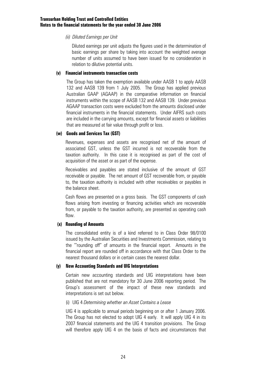#### *(ii) Diluted Earnings per Unit*

Diluted earnings per unit adjusts the figures used in the determination of basic earnings per share by taking into account the weighted average number of units assumed to have been issued for no consideration in relation to dilutive potential units.

#### **(v) Financial instruments transaction costs**

The Group has taken the exemption available under AASB 1 to apply AASB 132 and AASB 139 from 1 July 2005. The Group has applied previous Australian GAAP (AGAAP) in the comparative information on financial instruments within the scope of AASB 132 and AASB 139. Under previous AGAAP transaction costs were excluded from the amounts disclosed under financial instruments in the financial statements. Under AIFRS such costs are included in the carrying amounts, except for financial assets or liabilities that are measured at fair value through profit or loss.

#### **(w) Goods and Services Tax (GST)**

Revenues, expenses and assets are recognised net of the amount of associated GST, unless the GST incurred is not recoverable from the taxation authority. In this case it is recognised as part of the cost of acquisition of the asset or as part of the expense.

Receivables and payables are stated inclusive of the amount of GST receivable or payable. The net amount of GST recoverable from, or payable to, the taxation authority is included with other receivables or payables in the balance sheet.

Cash flows are presented on a gross basis. The GST components of cash flows arising from investing or financing activities which are recoverable from, or payable to the taxation authority, are presented as operating cash flow.

#### **(x) Rounding of Amounts**

The consolidated entity is of a kind referred to in Class Order 98/0100 issued by the Australian Securities and Investments Commission, relating to the '"rounding off" of amounts in the financial report. Amounts in the financial report are rounded off in accordance with that Class Order to the nearest thousand dollars or in certain cases the nearest dollar.

#### **(y) New Accounting Standards and UIG Interpretations**

Certain new accounting standards and UIG interpretations have been published that are not mandatory for 30 June 2006 reporting period. The Group's assessment of the impact of these new standards and interpretations is set out below.

#### (i) UIG 4 *Determining whether an Asset Contains a Lease*

 UIG 4 is applicable to annual periods beginning on or after 1 January 2006. The Group has not elected to adopt UIG 4 early. It will apply UIG 4 in its 2007 financial statements and the UIG 4 transition provisions. The Group will therefore apply UIG 4 on the basis of facts and circumstances that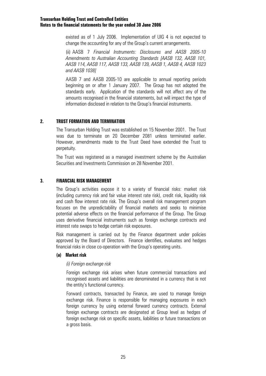existed as of 1 July 2006. Implementation of UIG 4 is not expected to change the accounting for any of the Group's current arrangements.

 (ii) AASB 7 *Financial Instruments: Disclosures and AASB 2005-10 Amendments to Australian Accounting Standards [AASB 132, AASB 101, AASB 114, AASB 117, AASB 133, AASB 139, AASB 1, AASB 4, AASB 1023 and AASB 1038]* 

 AASB 7 and AASB 2005-10 are applicable to annual reporting periods beginning on or after 1 January 2007. The Group has not adopted the standards early. Application of the standards will not affect any of the amounts recognised in the financial statements, but will impact the type of information disclosed in relation to the Group's financial instruments.

# **2. TRUST FORMATION AND TERMINATION**

The Transurban Holding Trust was established on 15 November 2001. The Trust was due to terminate on 20 December 2081 unless terminated earlier. However, amendments made to the Trust Deed have extended the Trust to perpetuity.

The Trust was registered as a managed investment scheme by the Australian Securities and Investments Commission on 28 November 2001.

# **3. FINANCIAL RISK MANAGEMENT**

The Group's activities expose it to a variety of financial risks: market risk (including currency risk and fair value interest rate risk), credit risk, liquidity risk and cash flow interest rate risk. The Group's overall risk management program focuses on the unpredictability of financial markets and seeks to minimise potential adverse effects on the financial performance of the Group. The Group uses derivative financial instruments such as foreign exchange contracts and interest rate swaps to hedge certain risk exposures.

Risk management is carried out by the Finance department under policies approved by the Board of Directors. Finance identifies, evaluates and hedges financial risks in close co-operation with the Group's operating units.

#### **(a) Market risk**

#### *(i) Foreign exchange risk*

Foreign exchange risk arises when future commercial transactions and recognised assets and liabilities are denominated in a currency that is not the entity's functional currency.

Forward contracts, transacted by Finance, are used to manage foreign exchange risk. Finance is responsible for managing exposures in each foreign currency by using external forward currency contracts. External foreign exchange contracts are designated at Group level as hedges of foreign exchange risk on specific assets, liabilities or future transactions on a gross basis.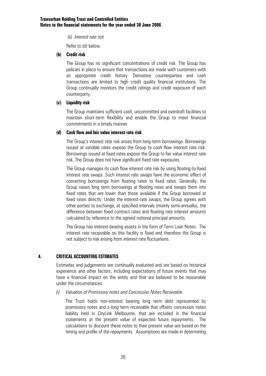*(ii) Interest rate risk* 

Refer to (d) below.

#### **(b) Credit risk**

The Group has no significant concentrations of credit risk. The Group has policies in place to ensure that transactions are made with customers with an appropriate credit history. Derivative counterparties and cash transactions are limited to high credit quality financial institutions. The Group continually monitors the credit ratings and credit exposure of each counterparty.

#### **(c) Liquidity risk**

The Group maintains sufficient cash, uncommitted and overdraft facilities to maintain short-term flexibility and enable the Group to meet financial commitments in a timely manner.

#### **(d) Cash flow and fair value interest rate risk**

The Group's interest rate risk arises from long-term borrowings. Borrowings issued at variable rates expose the Group to cash flow interest rate risk. Borrowings issued at fixed rates expose the Group to fair value interest rate risk. The Group does not have significant fixed rate exposures.

The Group manages its cash flow interest rate risk by using floating-to-fixed interest rate swaps. Such interest rate swaps have the economic effect of converting borrowings from floating rates to fixed rates. Generally, the Group raises long term borrowings at floating rates and swaps them into fixed rates that are lower than those available if the Group borrowed at fixed rates directly. Under the interest-rate swaps, the Group agrees with other parties to exchange, at specified intervals (mainly semi-annually), the difference between fixed contract rates and floating rate interest amounts calculated by reference to the agreed notional principal amounts.

The Group has interest-bearing assets in the form of Term Loan Notes. The interest rate receivable on this facility is fixed and therefore the Group is not subject to risk arising from interest rate fluctuations.

### **4. CRITICAL ACCOUNTING ESTIMATES**

Estimates and judgements are continually evaluated and are based on historical experience and other factors, including expectations of future events that may have a financial impact on the entity and that are believed to be reasonable under the circumstances.

*(i) Valuation of Promissory notes and Concession Notes Receivable* 

 The Trust holds non-interest bearing long term debt represented by promissory notes and a long term receivable that offsets concession notes liability held in CityLink Melbourne, that are included in the financial statements at the present value of expected future repayments. The calculations to discount these notes to their present value are based on the timing and profile of the repayments. Assumptions are made in determining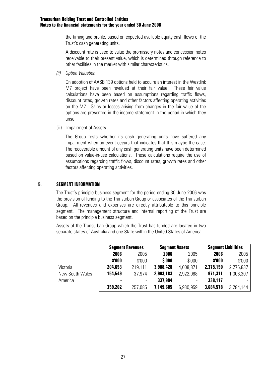the timing and profile, based on expected available equity cash flows of the Trust's cash generating units.

 A discount rate is used to value the promissory notes and concession notes receivable to their present value, which is determined through reference to other facilities in the market with similar characteristics.

*(ii) Option Valuation* 

On adoption of AASB 139 options held to acquire an interest in the Westlink M7 project have been revalued at their fair value. These fair value calculations have been based on assumptions regarding traffic flows, discount rates, growth rates and other factors affecting operating activities on the M7. Gains or losses arising from changes in the fair value of the options are presented in the income statement in the period in which they arise.

(iii) Impairment of Assets

The Group tests whether its cash generating units have suffered any impairment when an event occurs that indicates that this maybe the case. The recoverable amount of any cash generating units have been determined based on value-in-use calculations. These calculations require the use of assumptions regarding traffic flows, discount rates, growth rates and other factors affecting operating activities.

### **5. SEGMENT INFORMATION**

The Trust's principle business segment for the period ending 30 June 2006 was the provision of funding to the Transurban Group or associates of the Transurban Group. All revenues and expenses are directly attributable to this principle segment. The management structure and internal reporting of the Trust are based on the principle business segment.

Assets of the Transurban Group which the Trust has funded are located in two separate states of Australia and one State within the United States of America.

|                 | <b>Segment Revenues</b> |         |           | <b>Seqment Assets</b>    |           | <b>Segment Liabilities</b> |  |
|-----------------|-------------------------|---------|-----------|--------------------------|-----------|----------------------------|--|
|                 | 2006                    | 2005    | 2006      | 2005                     | 2006      | 2005                       |  |
|                 | \$'000                  | \$'000  | \$'000    | \$'000                   | \$'000    | \$'000                     |  |
| Victoria        | 204,653                 | 219,111 | 3,908,428 | 4,008,871                | 2,375,150 | 2,275,837                  |  |
| New South Wales | 154,549                 | 37.974  | 2,903,183 | 2,922,088                | 971,311   | 1,008,307                  |  |
| America         | $\blacksquare$          |         | 337,994   | $\overline{\phantom{a}}$ | 338,117   |                            |  |
|                 | 359,202                 | 257,085 | 7,149,605 | 6,930,959                | 3,684,578 | 3,284,144                  |  |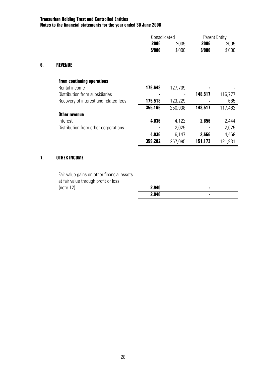| Consolidated |        | <b>Parent Entity</b> |        |
|--------------|--------|----------------------|--------|
| 2006         | 2005   | 2006                 | 2005   |
| \$'000       | \$'000 | \$'000               | \$'000 |

#### **6. REVENUE**

| <b>From continuing operations</b>     |         |         |                |         |
|---------------------------------------|---------|---------|----------------|---------|
| Rental income                         | 179,648 | 127,709 | ٠              |         |
| Distribution from subsidiaries        |         |         | 148,517        | 116,777 |
| Recovery of interest and related fees | 175,518 | 123,229 |                | 685     |
|                                       | 355,166 | 250,938 | 148,517        | 117,462 |
| Other revenue                         |         |         |                |         |
| Interest                              | 4,036   | 4,122   | 2,656          | 2,444   |
| Distribution from other corporations  | ٠       | 2,025   | $\blacksquare$ | 2,025   |
|                                       | 4,036   | 6.147   | 2,656          | 4,469   |

# **7. OTHER INCOME**

 Fair value gains on other financial assets at fair value through profit or loss (note 12) **2,940** - **-** -

| 2,940 | - |   | - |
|-------|---|---|---|
| 2,940 | - | ٠ | - |

**359,202** 257,085 **151,173** 121,931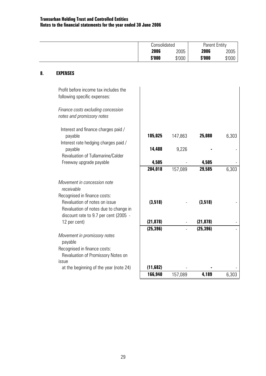|        | Consolidated |        | <b>Parent Entity</b> |
|--------|--------------|--------|----------------------|
| 2006   | 2005         | 2006   | 2005                 |
| \$'000 | \$'000       | \$'000 | \$'000               |

# **8. EXPENSES**

| Profit before income tax includes the<br>following specific expenses:                                                                               |           |         |           |       |
|-----------------------------------------------------------------------------------------------------------------------------------------------------|-----------|---------|-----------|-------|
| Finance costs excluding concession<br>notes and promissory notes                                                                                    |           |         |           |       |
| Interest and finance charges paid /                                                                                                                 |           |         |           |       |
| payable                                                                                                                                             | 185,025   | 147,863 | 25,080    | 6,303 |
| Interest rate hedging charges paid /                                                                                                                | 14,488    | 9,226   |           |       |
| payable<br>Revaluation of Tullamarine/Calder                                                                                                        |           |         |           |       |
| Freeway upgrade payable                                                                                                                             | 4,505     |         | 4,505     |       |
|                                                                                                                                                     | 204,018   | 157,089 | 29,585    | 6,303 |
| Movement in concession note<br>receivable<br>Recognised in finance costs:<br>Revaluation of notes on issue<br>Revaluation of notes due to change in | (3,518)   |         | (3,518)   |       |
| discount rate to 9.7 per cent (2005 -                                                                                                               |           |         |           |       |
| 12 per cent)                                                                                                                                        | (21, 878) |         | (21, 878) |       |
| Movement in promissory notes<br>payable                                                                                                             | (25, 396) |         | (25, 396) |       |
| Recognised in finance costs:<br>Revaluation of Promissory Notes on                                                                                  |           |         |           |       |
| issue                                                                                                                                               |           |         |           |       |
| at the beginning of the year (note 24)                                                                                                              | (11,682)  |         |           |       |
|                                                                                                                                                     | 166,940   | 157,089 | 4,189     | 6,303 |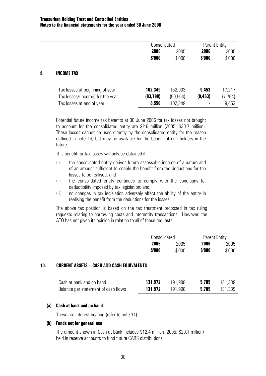| Consolidated |        | <b>Parent Entity</b> |        |
|--------------|--------|----------------------|--------|
| 2006         | 2005   | 2006                 | 2005   |
| \$'000       | \$'000 | \$'000               | \$'000 |

#### **9. INCOME TAX**

| Tax losses at beginning of year  | 102,349   | 152,903  | 9,453    | 17,217   |
|----------------------------------|-----------|----------|----------|----------|
| Tax losses/(Income) for the year | (93, 799) | (50.554) | (9, 453) | (7, 764) |
| Tax losses at end of year        | 8,550     | 102.349  |          | 9,453    |

Potential future income tax benefits at 30 June 2006 for tax losses not brought to account for the consolidated entity are \$2.6 million (2005: \$30.7 million). These losses cannot be used directly by the consolidated entity for the reason outlined in note 1d, but may be available for the benefit of unit holders in the future.

This benefit for tax losses will only be obtained if:

- (i) the consolidated entity derives future assessable income of a nature and of an amount sufficient to enable the benefit from the deductions for the losses to be realised; and
- (ii) the consolidated entity continues to comply with the conditions for deductibility imposed by tax legislation; and,
- (iii) no changes in tax legislation adversely affect the ability of the entity in realising the benefit from the deductions for the losses.

The above tax position is based on the tax treatment proposed in tax ruling requests relating to borrowing costs and interentity transactions. However, the ATO has not given its opinion in relation to all of these requests.

| Consolidated |        | <b>Parent Entity</b> |        |
|--------------|--------|----------------------|--------|
| 2006         | 2005   | 2006                 | 2005   |
| \$'000       | \$'000 | \$'000               | \$'000 |

#### **10. CURRENT ASSETS – CASH AND CASH EQUIVALENTS**

| Cash at bank and on hand            | 131.972 | 191.908 | 5.785 | 131,339, |
|-------------------------------------|---------|---------|-------|----------|
| Balance per statement of cash flows | 131.972 | 191.908 | 5.785 | 131,339, |

#### **(a) Cash at bank and on hand**

These are interest bearing (refer to note 11).

#### **(b) Funds not for general use**

The amount shown in Cash at Bank includes \$12.4 million (2005: \$20.1 million) held in reserve accounts to fund future CARS distributions.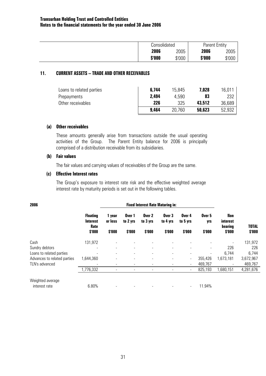| Consolidated |        | <b>Parent Entity</b> |        |
|--------------|--------|----------------------|--------|
| 2006         | 2005   | 2006                 | 2005   |
| \$'000       | \$'000 | \$'000               | \$'000 |

#### **11. CURRENT ASSETS – TRADE AND OTHER RECEIVABLES**

| Loans to related parties | 6,744 | 15,845 | 7.028  | 16.011 |
|--------------------------|-------|--------|--------|--------|
| Prepayments              | 2,494 | 4.590  | 83     | 232    |
| Other receivables        | 226   | 325    | 43.512 | 36,689 |
|                          | 9,464 | 20.760 | 50,623 | 52,932 |

#### **(a) Other receivables**

 These amounts generally arise from transactions outside the usual operating activities of the Group. The Parent Entity balance for 2006 is principally comprised of a distribution receivable from its subsidiaries.

#### **(b) Fair values**

The fair values and carrying values of receivables of the Group are the same.

#### **(c) Effective Interest rates**

The Group's exposure to interest rate risk and the effective weighted average interest rate by maturity periods is set out in the following tables.

| 2006                              |                                                      | <b>Fixed Interest Rate Maturing in:</b> |                              |                              |                              |                              |                         |                                      |                        |
|-----------------------------------|------------------------------------------------------|-----------------------------------------|------------------------------|------------------------------|------------------------------|------------------------------|-------------------------|--------------------------------------|------------------------|
|                                   | <b>Floating</b><br><b>Interest</b><br>Rate<br>\$'000 | 1 year<br>or less<br>\$'000             | Over 1<br>to 2 yrs<br>\$'000 | Over 2<br>to 3 yrs<br>\$'000 | Over 3<br>to 4 yrs<br>\$'000 | Over 4<br>to 5 yrs<br>\$'000 | Over 5<br>yrs<br>\$'000 | Non<br>interest<br>bearing<br>\$'000 | <b>TOTAL</b><br>\$'000 |
|                                   |                                                      |                                         |                              |                              |                              |                              |                         |                                      |                        |
| Cash                              | 131,972                                              | $\overline{\phantom{a}}$                |                              |                              |                              | $\qquad \qquad \blacksquare$ |                         |                                      | 131,972                |
| Sundry debtors                    |                                                      | $\overline{\phantom{a}}$                | $\overline{\phantom{0}}$     | $\overline{\phantom{0}}$     | $\overline{\phantom{a}}$     |                              |                         | 226                                  | 226                    |
| Loans to related parties          |                                                      | $\overline{\phantom{a}}$                | ۰.                           | $\overline{\phantom{a}}$     | $\overline{\phantom{a}}$     | $\overline{\phantom{a}}$     |                         | 6,744                                | 6,744                  |
| Advances to related parties       | 1,644,360                                            | $\overline{\phantom{a}}$                | $\blacksquare$               |                              | $\overline{\phantom{a}}$     | $\overline{\phantom{a}}$     | 355,426                 | 1,673,181                            | 3,672,967              |
| TLN's advanced                    | $\overline{\phantom{a}}$                             | -                                       | $\qquad \qquad \blacksquare$ | $\overline{\phantom{a}}$     | $\overline{\phantom{a}}$     | $\overline{\phantom{a}}$     | 469,767                 | $\overline{\phantom{a}}$             | 469,767                |
|                                   | ,776,332                                             |                                         |                              |                              |                              | $\overline{\phantom{a}}$     | 825,193                 | 1,680,151                            | 4,281,676              |
| Weighted average<br>interest rate | 6.80%                                                |                                         |                              |                              |                              | $\overline{\phantom{a}}$     | 11.94%                  |                                      |                        |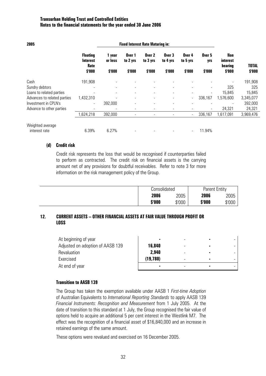| 2005                        |                                            |                   |                    | <b>Fixed Interest Rate Maturing in:</b> |                          |                              |                          |                                          |              |
|-----------------------------|--------------------------------------------|-------------------|--------------------|-----------------------------------------|--------------------------|------------------------------|--------------------------|------------------------------------------|--------------|
|                             | <b>Floating</b><br><b>Interest</b><br>Rate | 1 year<br>or less | Over 1<br>to 2 yrs | Over 2<br>to 3 yrs                      | Over 3<br>to 4 yrs       | Over 4<br>to 5 yrs           | Over 5<br>yrs            | Non<br><i>interest</i><br><b>bearing</b> | <b>TOTAL</b> |
|                             | \$'000                                     | \$'000            | \$'000             | \$'000                                  | \$'000                   | \$'000                       | \$'000                   | \$'000                                   | \$'000       |
| Cash                        | 191,908                                    | ۰                 |                    |                                         |                          |                              |                          | $\overline{\phantom{a}}$                 | 191,908      |
| Sundry debtors              |                                            |                   |                    |                                         | $\overline{\phantom{0}}$ |                              |                          | 325                                      | 325          |
| Loans to related parties    |                                            | -                 |                    |                                         |                          | $\qquad \qquad \blacksquare$ | $\overline{\phantom{a}}$ | 15,845                                   | 15,845       |
| Advances to related parties | 1,432,310                                  |                   | $\blacksquare$     | $\blacksquare$                          | ۰.                       | $\overline{\phantom{a}}$     | 336,167                  | 1,576,600                                | 3,345,077    |
| Investment in CPLN's        |                                            | 392,000           |                    | $\blacksquare$                          |                          | $\blacksquare$               |                          | $\qquad \qquad \blacksquare$             | 392,000      |
| Advance to other parties    |                                            |                   |                    |                                         |                          | -                            | $\overline{\phantom{a}}$ | 24,321                                   | 24,321       |
|                             | 1,624,218                                  | 392,000           |                    |                                         |                          | $\blacksquare$               | 336,167                  | 1,617,091                                | 3,969,476    |
| Weighted average            |                                            |                   |                    |                                         |                          |                              |                          |                                          |              |
| interest rate               | 6.39%                                      | 6.27%             |                    |                                         |                          | $\overline{\phantom{a}}$     | 11.94%                   |                                          |              |

#### **(d) Credit risk**

 Credit risk represents the loss that would be recognised if counterparties failed to perform as contracted. The credit risk on financial assets is the carrying amount net of any provisions for doubtful receivables. Refer to note 3 for more information on the risk management policy of the Group.

| Consolidated |        | <b>Parent Entity</b> |        |  |
|--------------|--------|----------------------|--------|--|
| 2006         | 2005   | 2006                 | 2005   |  |
| \$'000       | \$'000 | \$'000               | \$'000 |  |

### **12. CURRENT ASSETS – OTHER FINANCIAL ASSETS AT FAIR VALUE THROUGH PROFIT OR LOSS**

| At beginning of year             | ٠         |  |  |
|----------------------------------|-----------|--|--|
| Adjusted on adoption of AASB 139 | 16,840    |  |  |
| Revaluation                      | 2.940     |  |  |
| Exercised                        | (19, 780) |  |  |
| At end of year                   | ۰         |  |  |

#### **Transition to AASB 139**

The Group has taken the exemption available under AASB 1 *First-time Adoption* of Australian Equivalents to *International Reporting Standards* to apply AASB 139 *Financial Instruments: Recognition and Measurement* from 1 July 2005. At the date of transition to this standard at 1 July, the Group recognised the fair value of options held to acquire an additional 5 per cent interest in the Westlink M7. The effect was the recognition of a financial asset of \$16,840,000 and an increase in retained earnings of the same amount.

These options were revalued and exercised on 16 December 2005.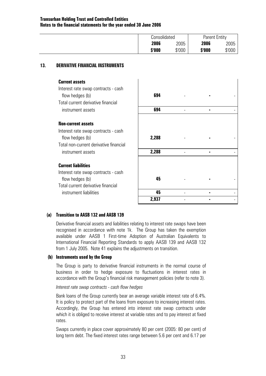| Consolidated |        | <b>Parent Entity</b> |        |
|--------------|--------|----------------------|--------|
| 2006         | 2005   | 2006                 | 2005   |
| \$'000       | \$'000 | \$'000               | \$'000 |

#### **13. DERIVATIVE FINANCIAL INSTRUMENTS**

#### **Current assets**

 Interest rate swap contracts - cash flow hedges (b) Total current derivative financial  $in$  strument assets

#### **Non-current assets**

 Interest rate swap contracts - cash flow hedges (b) Total non-current derivative financial  $in$ strument assets

#### **Current liabilities**

 Interest rate swap contracts - cash flow hedges (b) Total current derivative financial  $int$ **instrument liabilities** 

| 694   |   |   |  |
|-------|---|---|--|
| 694   | - | ٠ |  |
|       |   |   |  |
|       |   |   |  |
| 2,288 |   |   |  |
|       |   |   |  |
| 2,288 |   | ٠ |  |
|       |   |   |  |
|       |   |   |  |
| 45    |   |   |  |
|       |   |   |  |
| 45    |   | ٠ |  |
| 2,937 |   |   |  |

#### **(a) Transition to AASB 132 and AASB 139**

Derivative financial assets and liabilities relating to interest rate swaps have been recognised in accordance with note 1k. The Group has taken the exemption available under AASB 1 First-time Adoption of Australian Equivalents to International Financial Reporting Standards to apply AASB 139 and AASB 132 from 1 July 2005. Note 41 explains the adjustments on transition.

#### **(b) Instruments used by the Group**

The Group is party to derivative financial instruments in the normal course of business in order to hedge exposure to fluctuations in interest rates in accordance with the Group's financial risk management policies (refer to note 3).

#### *Interest rate swap contracts - cash flow hedges*

Bank loans of the Group currently bear an average variable interest rate of 6.4%. It is policy to protect part of the loans from exposure to increasing interest rates. Accordingly, the Group has entered into interest rate swap contracts under which it is obliged to receive interest at variable rates and to pay interest at fixed rates.

Swaps currently in place cover approximately 80 per cent (2005: 80 per cent) of long term debt. The fixed interest rates range between 5.6 per cent and 6.17 per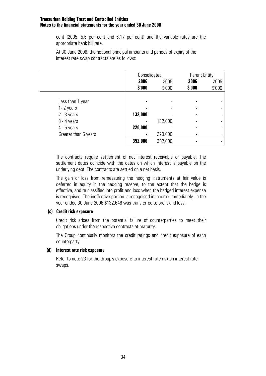cent (2005: 5.6 per cent and 6.17 per cent) and the variable rates are the appropriate bank bill rate.

At 30 June 2006, the notional principal amounts and periods of expiry of the interest rate swap contracts are as follows:

|                      | Consolidated |         | <b>Parent Entity</b> |        |
|----------------------|--------------|---------|----------------------|--------|
|                      | 2006         | 2005    | 2006                 | 2005   |
|                      | \$'000       | \$'000  | \$'000               | \$'000 |
|                      |              |         |                      |        |
| Less than 1 year     |              |         |                      |        |
| 1-2 years            |              |         | ۰                    |        |
| $2 - 3$ years        | 132,000      |         |                      |        |
| $3 - 4$ years        |              | 132,000 |                      |        |
| $4 - 5$ years        | 220,000      |         |                      |        |
| Greater than 5 years |              | 220,000 |                      |        |
|                      | 352,000      | 352,000 |                      |        |

The contracts require settlement of net interest receivable or payable. The settlement dates coincide with the dates on which interest is payable on the underlying debt. The contracts are settled on a net basis.

The gain or loss from remeasuring the hedging instruments at fair value is deferred in equity in the hedging reserve, to the extent that the hedge is effective, and re classified into profit and loss when the hedged interest expense is recognised. The ineffective portion is recognised in income immediately. In the year ended 30 June 2006 \$132,648 was transferred to profit and loss.

#### **(c) Credit risk exposure**

Credit risk arises from the potential failure of counterparties to meet their obligations under the respective contracts at maturity.

The Group continually monitors the credit ratings and credit exposure of each counterparty.

#### **(d) Interest rate risk exposure**

Refer to note 23 for the Group's exposure to interest rate risk on interest rate swaps.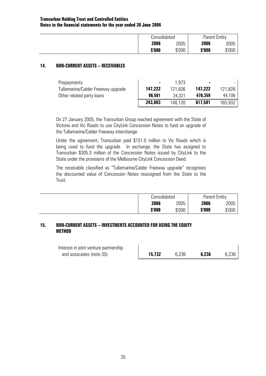| Consolidated |        | <b>Parent Entity</b> |        |
|--------------|--------|----------------------|--------|
| 2006         | 2005   | 2006                 | 2005   |
| \$'000       | \$'000 | \$'000               | \$'000 |

## **14. NON-CURRENT ASSETS – RECEIVABLES**

| Prepayments                        | $\sim$  | 1 973   | ٠       |         |
|------------------------------------|---------|---------|---------|---------|
| Tullamarine/Calder Freeway upgrade | 147,222 | 121.826 | 147.222 | 121,826 |
| Other related party loans          | 96.581  | 24.321  | 470.359 | 44.106  |
|                                    | 243,803 | 148.120 | 617,581 | 165,932 |

On 27 January 2005, the Transurban Group reached agreement with the State of Victoria and Vic Roads to use CityLink Concession Notes to fund an upgrade of the Tullamarine/Calder Freeway interchange.

Under the agreement, Transurban paid \$151.0 million to Vic Roads which is being used to fund the upgrade. In exchange, the State has assigned to Transurban \$305.3 million of the Concession Notes issued by CityLink to the State under the provisions of the Melbourne CityLink Concession Deed.

 The receivable classified as "Tullamarine/Calder Freeway upgrade" recognises the discounted value of Concession Notes reassigned from the State to the Trust.

| Consolidated |        | <b>Parent Entity</b> |        |
|--------------|--------|----------------------|--------|
| 2006         | 2005   | 2006                 | 2005   |
| \$'000       | \$'000 | \$'000               | \$'000 |

## **15. NON-CURRENT ASSETS – INVESTMENTS ACCOUNTED FOR USING THE EQUITY METHOD**

| Interest in joint venture partnership |        |       |       |       |
|---------------------------------------|--------|-------|-------|-------|
| and associates (note 35)              | 15,732 | 6.236 | 6,236 | 6,236 |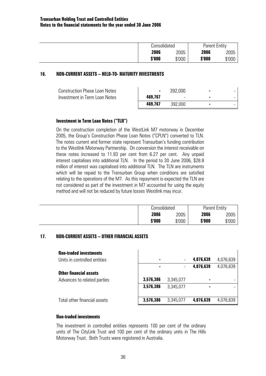| Consolidated | <b>Parent Entity</b>       |
|--------------|----------------------------|
| 2006         | 2006<br>2005<br>2005       |
| \$'000       | \$'000<br>\$'000<br>\$'000 |

## **16. NON-CURRENT ASSETS – HELD-TO- MATURITY INVESTMENTS**

| <b>Construction Phase Loan Notes</b> |         | 392,000 |  |
|--------------------------------------|---------|---------|--|
| Investment in Term Loan Notes        | 469,767 | -       |  |
|                                      | 469.767 | 392,000 |  |

## **Investment in Term Loan Notes ("TLN")**

 On the construction completion of the WestLink M7 motorway in December 2005, the Group's Construction Phase Loan Notes ("CPLN") converted to TLN. The notes current and former state represent Transurban's funding contribution to the Westlink Motorway Partnership. On conversion the interest receivable on these notes increased to 11.93 per cent from 6.27 per cent. Any unpaid interest capitalises into additional TLN. In the period to 30 June 2006, \$28.8 million of interest was capitalised into additional TLN. The TLN are instruments which will be repaid to the Transurban Group when conditions are satisfied relating to the operations of the M7. As this repayment is expected the TLN are not considered as part of the investment in M7 accounted for using the equity method and will not be reduced by future losses Westlink may incur.

| Consolidated |        | <b>Parent Entity</b> |        |
|--------------|--------|----------------------|--------|
| 2006         | 2005   | 2006                 | 2005   |
| \$'000       | \$'000 | \$'000               | \$'000 |

## **17. NON-CURRENT ASSETS – OTHER FINANCIAL ASSETS**

| <b>Non-traded investments</b> |           |           |                |           |
|-------------------------------|-----------|-----------|----------------|-----------|
| Units in controlled entities  | ٠         |           | 4,076,639      | 4,076,639 |
|                               |           |           | 4,076,639      | 4,076,639 |
| <b>Other financial assets</b> |           |           |                |           |
| Advances to related parties   | 3,576,386 | 3,345,077 | $\blacksquare$ |           |
|                               | 3,576,386 | 3,345,077 | $\blacksquare$ |           |
|                               |           |           |                |           |
| Total other financial assets  | 3,576,386 | 3,345,077 | 4,076,639      | 4,076,639 |

## **Non-traded investments**

The investment in controlled entities represents 100 per cent of the ordinary units of The CityLink Trust and 100 per cent of the ordinary units in The Hills Motorway Trust. Both Trusts were registered in Australia.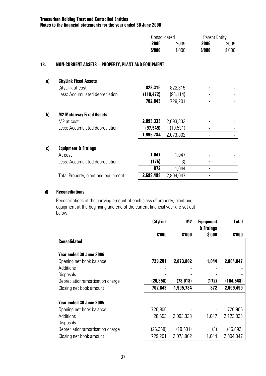|        | Consolidated | <b>Parent Entity</b> |        |
|--------|--------------|----------------------|--------|
| 2006   | 2005         | 2006                 | 2005   |
| \$'000 | \$'000       | \$'000               | \$'000 |

## **18. NON-CURRENT ASSETS – PROPERTY, PLANT AND EQUIPMENT**

| a) | <b>CityLink Fixed Assets</b>        |            |           |  |
|----|-------------------------------------|------------|-----------|--|
|    | CityLink at cost                    | 822,315    | 822,315   |  |
|    | Less: Accumulated depreciation      | (119, 472) | (93, 114) |  |
|    |                                     | 702,843    | 729,201   |  |
|    |                                     |            |           |  |
| b) | <b>M2 Motorway Fixed Assets</b>     |            |           |  |
|    | M2 at cost                          | 2,093,333  | 2,093,333 |  |
|    | Less: Accumulated depreciation      | (97, 549)  | (19,531)  |  |
|    |                                     | 1,995,784  | 2,073,802 |  |
|    |                                     |            |           |  |
| c) | <b>Equipment &amp; Fittings</b>     |            |           |  |
|    | At cost                             | 1,047      | 1,047     |  |
|    | Less: Accumulated depreciation      | (175)      | (3)       |  |
|    |                                     | 872        | 1,044     |  |
|    | Total Property, plant and equipment | 2,699,499  | 2,804,047 |  |

## **d) Reconciliations**

Reconciliations of the carrying amount of each class of property, plant and equipment at the beginning and end of the current financial year are set out below.

|                                  | <b>CityLink</b> | M <sub>2</sub> | <b>Equipment</b><br>& Fittings | Total      |
|----------------------------------|-----------------|----------------|--------------------------------|------------|
|                                  | \$'000          | \$'000         | \$'000                         | \$'000     |
| <b>Consolidated</b>              |                 |                |                                |            |
| <b>Year ended 30 June 2006</b>   |                 |                |                                |            |
| Opening net book balance         | 729,201         | 2,073,802      | 1,044                          | 2,804,047  |
| Additions                        |                 |                |                                |            |
| <b>Disposals</b>                 |                 |                |                                |            |
| Depreciation/amortisation charge | (26, 358)       | (78, 018)      | (172)                          | (104, 548) |
| Closing net book amount          | 702,843         | 1,995,784      | 872                            | 2,699,499  |
| <b>Year ended 30 June 2005</b>   |                 |                |                                |            |
| Opening net book balance         | 726,906         |                |                                | 726,906    |
| Additions                        | 28,653          | 2,093,333      | 1,047                          | 2,123,033  |
| Disposals                        |                 |                |                                |            |
| Depreciation/amortisation charge | (26, 358)       | (19,531)       | (3)                            | (45, 892)  |
| Closing net book amount          | 729,201         | 2,073,802      | 1,044                          | 2,804,047  |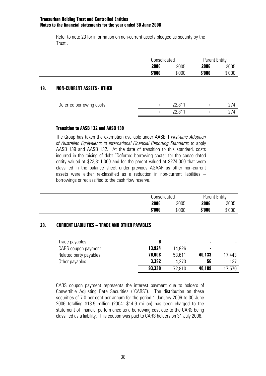Refer to note 23 for information on non-current assets pledged as security by the Trust .

| Consolidated |        | Parent Entity |        |
|--------------|--------|---------------|--------|
| 2006         | 2005   | 2006          | 2005   |
| \$'000       | \$'000 | \$'000        | \$'000 |

## **19. NON-CURRENT ASSETS - OTHER**

| Deferred borrowing costs | 22 R1             |  |
|--------------------------|-------------------|--|
|                          | 22 R <sub>1</sub> |  |

## **Transition to AASB 132 and AASB 139**

 The Group has taken the exemption available under AASB 1 *First-time Adoption of Australian Equivalents to International Financial Reporting Standards* to apply AASB 139 and AASB 132. At the date of transition to this standard, costs incurred in the raising of debt "Deferred borrowing costs" for the consolidated entity valued at \$22,811,000 and for the parent valued at \$274,000 that were classified in the balance sheet under previous AGAAP as other non-current assets were either re-classified as a reduction in non-current liabilities – borrowings or reclassified to the cash flow reserve.

| Consolidated |        | <b>Parent Entity</b> |        |
|--------------|--------|----------------------|--------|
| 2006         | 2005   | 2006                 | 2005   |
| \$'000       | \$'000 | \$'000               | \$'000 |

# **20. CURRENT LIABILITIES – TRADE AND OTHER PAYABLES**

| Trade payables         |        | -      |        |        |
|------------------------|--------|--------|--------|--------|
| CARS coupon payment    | 13,924 | 14.926 | ۰      |        |
| Related party payables | 76,008 | 53,611 | 40,133 | 17.443 |
| Other payables         | 3,392  | 4.273  | 56     | 127    |
|                        | 93,330 | 72,810 | 40,189 | 17.570 |

CARS coupon payment represents the interest payment due to holders of Convertible Adjusting Rate Securities ("CARS"). The distribution on these securities of 7.0 per cent per annum for the period 1 January 2006 to 30 June 2006 totalling \$13.9 million (2004: \$14.9 million) has been charged to the statement of financial performance as a borrowing cost due to the CARS being classified as a liability. This coupon was paid to CARS holders on 31 July 2006.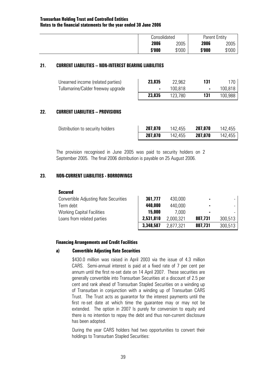| <i><b>Consolidated</b></i> |        | <b>Parent Entity</b> |        |
|----------------------------|--------|----------------------|--------|
| 2006                       | 2005   | 2006                 | 2005   |
| \$'000                     | \$'000 | \$'000               | \$'000 |

### **21. CURRENT LIABILITIES – NON-INTEREST BEARING LIABILITIES**

| Unearned income (related parties)  | 23,835 | 22.962  | 170 <sub>1</sub> |
|------------------------------------|--------|---------|------------------|
| Tullamarine/Calder freeway upgrade |        | 100.818 | 100.818          |
|                                    | 23,835 |         | 100.988          |

### **22. CURRENT LIABILITIES – PROVISIONS**

| Distribution to security holders | 207,070 | 142,455 | 207,070 | 142,455  |
|----------------------------------|---------|---------|---------|----------|
|                                  | 207,070 | 142,455 | 207,070 | 142,455, |

 The provision recognised in June 2005 was paid to security holders on 2 September 2005. The final 2006 distribution is payable on 25 August 2006.

## **23. NON-CURRENT LIABILITIES - BORROWINGS**

#### **Secured**

| <b>Convertible Adjusting Rate Securities</b> | 361,777   | 430,000   |                |         |
|----------------------------------------------|-----------|-----------|----------------|---------|
| Term debt                                    | 440,000   | 440,000   | $\blacksquare$ |         |
| <b>Working Capital Facilities</b>            | 15,000    | 7.000     | $\blacksquare$ |         |
| Loans from related parties                   | 2,531,810 | 2,000,321 | 807,731        | 300,513 |
|                                              | 3,348,587 | 2.877.321 | 807,731        | 300,513 |

#### **Financing Arrangements and Credit Facilities**

#### **a) Convertible Adjusting Rate Securities**

\$430.0 million was raised in April 2003 via the issue of 4.3 million CARS. Semi-annual interest is paid at a fixed rate of 7 per cent per annum until the first re-set date on 14 April 2007. These securities are generally convertible into Transurban Securities at a discount of 2.5 per cent and rank ahead of Transurban Stapled Securities on a winding up of Transurban in conjunction with a winding up of Transurban CARS Trust. The Trust acts as guarantor for the interest payments until the first re-set date at which time the guarantee may or may not be extended. The option in 2007 Is purely for conversion to equity and there is no intention to repay the debt and thus non-current disclosure has been adopted.

During the year CARS holders had two opportunities to convert their holdings to Transurban Stapled Securities: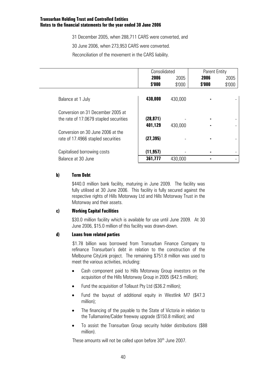31 December 2005, when 288,711 CARS were converted, and

30 June 2006, when 273,953 CARS were converted.

Reconciliation of the movement in the CARS liability.

|                                        | Consolidated |         | <b>Parent Entity</b> |        |  |
|----------------------------------------|--------------|---------|----------------------|--------|--|
|                                        | 2006         | 2005    | 2006                 | 2005   |  |
|                                        | \$'000       | \$'000  | \$'000               | \$'000 |  |
|                                        |              |         |                      |        |  |
| Balance at 1 July                      | 430,000      | 430,000 |                      |        |  |
| Conversion on 31 December 2005 at      |              |         |                      |        |  |
| the rate of 17.0679 stapled securities | (28, 871)    |         |                      |        |  |
|                                        | 401,129      | 430,000 |                      |        |  |
| Conversion on 30 June 2006 at the      |              |         |                      |        |  |
| rate of 17.4966 stapled securities     | (27, 395)    |         |                      |        |  |
| Capitalised borrowing costs            | (11, 957)    |         |                      |        |  |
| Balance at 30 June                     | 361,777      | 430,000 |                      |        |  |

## **b) Term Debt**

\$440.0 million bank facility, maturing in June 2009. The facility was fully utilised at 30 June 2006. This facility is fully secured against the respective rights of Hills Motorway Ltd and Hills Motorway Trust in the Motorway and their assets.

## **c) Working Capital Facilities**

\$30.0 million facility which is available for use until June 2009. At 30 June 2006, \$15.0 million of this facility was drawn-down.

## **d) Loans from related parties**

\$1.78 billion was borrowed from Transurban Finance Company to refinance Transurban's debt in relation to the construction of the Melbourne CityLink project. The remaining \$751.8 million was used to meet the various activities, including:

- Cash component paid to Hills Motorway Group investors on the acquisition of the Hills Motorway Group in 2005 (\$42.5 million);
- Fund the acquisition of Tollaust Pty Ltd (\$36.2 million);
- Fund the buyout of additional equity in Westlink M7 (\$47.3 million);
- The financing of the payable to the State of Victoria in relation to the Tullamarine/Calder freeway upgrade (\$150.8 million); and
- To assist the Transurban Group security holder distributions (\$88 million).

These amounts will not be called upon before 30<sup>th</sup> June 2007.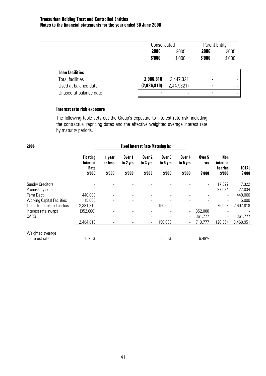|                         | Consolidated |             | <b>Parent Entity</b> |        |
|-------------------------|--------------|-------------|----------------------|--------|
|                         | 2006         | 2005        | 2006                 | 2005   |
|                         | \$'000       | \$'000      | \$'000               | \$'000 |
|                         |              |             |                      |        |
| <b>Loan facilities</b>  |              |             |                      |        |
| <b>Total facilities</b> | 2,986,810    | 2,447,321   | $\blacksquare$       |        |
| Used at balance date    | (2,986,810)  | (2,447,321) | ٠                    |        |
| Unused at balance date  | ٠            |             | ٠                    |        |

## **Interest rate risk exposure**

The following table sets out the Group's exposure to interest rate risk, including the contractual repricing dates and the effective weighted average interest rate by maturity periods.

| 2006                              |                                            | <b>Fixed Interest Rate Maturing in:</b> |                          |                          |                          |                              |                          |                                   |              |
|-----------------------------------|--------------------------------------------|-----------------------------------------|--------------------------|--------------------------|--------------------------|------------------------------|--------------------------|-----------------------------------|--------------|
|                                   | <b>Floating</b><br><b>Interest</b><br>Rate | year<br>or less                         | Over 1<br>to 2 yrs       | Over 2<br>to 3 yrs       | Over 3<br>to 4 yrs       | Over 4<br>to 5 yrs           | Over 5<br>yrs            | Non<br><i>interest</i><br>bearing | <b>TOTAL</b> |
|                                   | \$'000                                     | \$'000                                  | \$'000                   | \$'000                   | \$'000                   | \$'000                       | \$'000                   | \$'000                            | \$'000       |
| <b>Sundry Creditors</b>           |                                            |                                         | ٠                        |                          |                          | $\qquad \qquad \blacksquare$ | $\overline{\phantom{a}}$ | 17,322                            | 17,322       |
| Promissory notes                  |                                            | $\overline{\phantom{a}}$                | $\overline{\phantom{a}}$ |                          | $\overline{\phantom{a}}$ | $\overline{\phantom{a}}$     | $\overline{\phantom{a}}$ | 27,034                            | 27,034       |
| <b>Term Debt</b>                  | 440,000                                    |                                         | ۰                        |                          | $\overline{\phantom{a}}$ | $\blacksquare$               |                          | $\overline{\phantom{a}}$          | 440,000      |
| <b>Working Capital Facilities</b> | 15,000                                     |                                         | $\overline{\phantom{a}}$ |                          |                          | $\overline{\phantom{a}}$     |                          |                                   | 15,000       |
| Loans from related parties        | 2,381,810                                  |                                         | $\overline{\phantom{a}}$ | $\overline{\phantom{0}}$ | 150,000                  |                              | $\overline{\phantom{a}}$ | 76,008                            | 2,607,818    |
| Interest rate swaps               | (352,000)                                  |                                         | $\overline{\phantom{0}}$ |                          |                          | $\overline{\phantom{a}}$     | 352,000                  |                                   |              |
| CARS                              |                                            | ٠                                       | $\overline{\phantom{0}}$ |                          |                          | $\overline{\phantom{a}}$     | 361,777                  |                                   | 361,777      |
|                                   | 2,484,810                                  | ٠                                       | $\overline{\phantom{0}}$ | $\overline{\phantom{0}}$ | 150,000                  | $\overline{\phantom{a}}$     | 713,777                  | 120,364                           | 3,468,951    |
| Weighted average                  |                                            |                                         |                          |                          |                          |                              |                          |                                   |              |
| interest rate                     | 6.26%                                      |                                         |                          |                          | 6.00%                    | $\overline{\phantom{a}}$     | 6.49%                    |                                   |              |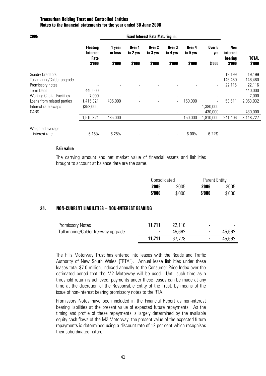|                                            | <b>Fixed Interest Rate Maturing in:</b> |                    |                          |                          |                          |                          |                                   |           |
|--------------------------------------------|-----------------------------------------|--------------------|--------------------------|--------------------------|--------------------------|--------------------------|-----------------------------------|-----------|
| <b>Floating</b><br><b>Interest</b><br>Rate | 1 year<br>or less                       | Over 1<br>to 2 yrs | Over 2<br>to 3 yrs       | Over 3<br>to 4 yrs       | Over 4<br>to 5 yrs       | Over 5<br>yrs            | Non<br><i>interest</i><br>bearing | TOTAL     |
| \$'000                                     | \$'000                                  | \$'000             | \$'000                   | \$'000                   | \$'000                   | \$'000                   | \$'000                            | \$'000    |
|                                            |                                         |                    |                          |                          |                          |                          |                                   | 19,199    |
|                                            |                                         | $\blacksquare$     |                          |                          |                          | $\overline{\phantom{0}}$ | 146,480                           | 146,480   |
|                                            |                                         |                    |                          |                          |                          |                          | 22,116                            | 22,116    |
| 440,000                                    |                                         |                    | ٠                        |                          |                          |                          | $\overline{\phantom{0}}$          | 440,000   |
| 7,000                                      |                                         |                    |                          |                          |                          |                          |                                   | 7,000     |
| 1,415,321                                  | 435,000                                 |                    |                          | $\overline{\phantom{0}}$ | 150,000                  |                          | 53,611                            | 2,053,932 |
| (352,000)                                  |                                         | $\blacksquare$     |                          |                          |                          | 1,380,000                |                                   |           |
|                                            | $\overline{\phantom{a}}$                |                    | $\overline{\phantom{a}}$ |                          | $\overline{\phantom{a}}$ | 430,000                  |                                   | 430,000   |
| 1,510,321                                  | 435,000                                 |                    |                          | $\overline{\phantom{a}}$ | 150,000                  | 1,810,000                | 241,406                           | 3,118,727 |
|                                            |                                         |                    |                          |                          |                          |                          |                                   |           |
|                                            | 6.16%                                   | 6.25%              |                          |                          | -                        | 6.00%                    | 6.22%                             | 19,199    |

### **Fair value**

The carrying amount and net market value of financial assets and liabilities brought to account at balance date are the same.

| Consolidated |        | Parent Entity |        |  |
|--------------|--------|---------------|--------|--|
| 2006         | 2005   | 2006          | 2005   |  |
| \$'000       | \$'000 | \$'000        | \$'000 |  |

## **24. NON-CURRENT LIABILITIES – NON-INTEREST BEARING**

| <b>Promissory Notes</b>            | 11.711 | 22.116 | ٠ |        |
|------------------------------------|--------|--------|---|--------|
| Tullamarine/Calder freeway upgrade |        | 45,662 |   | 45,662 |
|                                    | 11.711 | 67 778 |   | 45,662 |

The Hills Motorway Trust has entered into leases with the Roads and Traffic Authority of New South Wales ("RTA"). Annual lease liabilities under these leases total \$7.0 million, indexed annually to the Consumer Price Index over the estimated period that the M2 Motorway will be used. Until such time as a threshold return is achieved, payments under these leases can be made at any time at the discretion of the Responsible Entity of the Trust, by means of the issue of non-interest bearing promissory notes to the RTA.

Promissory Notes have been included in the Financial Report as non-interest bearing liabilities at the present value of expected future repayments. As the timing and profile of these repayments is largely determined by the available equity cash flows of the M2 Motorway, the present value of the expected future repayments is determined using a discount rate of 12 per cent which recognises their subordinated nature.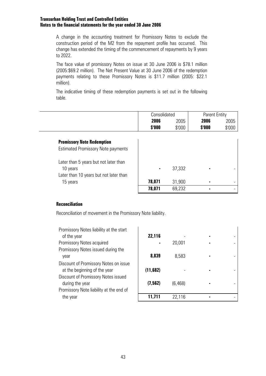A change in the accounting treatment for Promissory Notes to exclude the construction period of the M2 from the repayment profile has occurred. This change has extended the timing of the commencement of repayments by 9 years to 2022.

 The face value of promissory Notes on issue at 30 June 2006 is \$78.1 million (2005:\$69.2 million). The Net Present Value at 30 June 2006 of the redemption payments relating to these Promissory Notes is \$11.7 million (2005: \$22.1 million).

The indicative timing of these redemption payments is set out in the following table.

| Consolidated |        | <b>Parent Entity</b> |        |
|--------------|--------|----------------------|--------|
| 2006         | 2005   | 2006                 | 2005   |
| \$'000       | \$'000 | \$'000               | \$'000 |

| <b>Promissory Note Redemption</b>         |        |        |                |  |
|-------------------------------------------|--------|--------|----------------|--|
| <b>Estimated Promissory Note payments</b> |        |        |                |  |
| Later than 5 years but not later than     |        |        |                |  |
| 10 years                                  | ٠      | 37,332 | $\blacksquare$ |  |
| Later than 10 years but not later than    |        |        |                |  |
| 15 years                                  | 78,071 | 31,900 | $\blacksquare$ |  |
|                                           | 78,071 | 69,232 |                |  |

### **Reconciliation**

Reconciliation of movement in the Promissory Note liability.

| Promissory Notes liability at the start |          |          |  |
|-----------------------------------------|----------|----------|--|
| of the year                             | 22,116   |          |  |
| Promissory Notes acquired               |          | 20,001   |  |
| Promissory Notes issued during the      |          |          |  |
| year                                    | 8,839    | 8,583    |  |
| Discount of Promissory Notes on issue   |          |          |  |
| at the beginning of the year            | (11,682) |          |  |
| Discount of Promissory Notes issued     |          |          |  |
| during the year                         | (7, 562) | (6, 468) |  |
| Promissory Note liability at the end of |          |          |  |
| the year                                | 11,711   | 22,116   |  |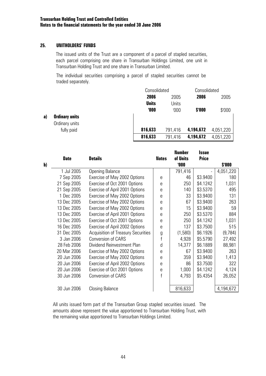## **25. UNITHOLDERS' FUNDS**

The issued units of the Trust are a component of a parcel of stapled securities, each parcel comprising one share in Transurban Holdings Limited, one unit in Transurban Holding Trust and one share in Transurban Limited.

 The individual securities comprising a parcel of stapled securities cannot be traded separately.

|    |                       | Consolidated |         |           | Consolidated |  |
|----|-----------------------|--------------|---------|-----------|--------------|--|
|    |                       | 2006         | 2005    | 2006      | 2005         |  |
|    |                       | <b>Units</b> | Units   |           |              |  |
|    |                       | 000          | '000    | \$'000    | \$'000       |  |
| a) | <b>Ordinary units</b> |              |         |           |              |  |
|    | Ordinary units        |              |         |           |              |  |
|    | fully paid            | 816,633      | 791,416 | 4,194,672 | 4,051,220    |  |
|    |                       | 816,633      | 791,416 | 4,194,672 | 4,051,220    |  |

|              |             |                                           |              | <b>Number</b> | <b>Issue</b> |           |
|--------------|-------------|-------------------------------------------|--------------|---------------|--------------|-----------|
|              | <b>Date</b> | <b>Details</b>                            | <b>Notes</b> | of Units      | <b>Price</b> |           |
| $\mathbf{b}$ |             |                                           |              | <b>'000</b>   |              | \$'000    |
|              | 1 Jul 2005  | <b>Opening Balance</b>                    |              | 791,416       |              | 4,051,220 |
|              | 7 Sep 2005  | Exercise of May 2002 Options              | e            | 46            | \$3.9400     | 180       |
|              | 21 Sep 2005 | Exercise of Oct 2001 Options              | e            | 250           | \$4.1242     | 1,031     |
|              | 21 Sep 2005 | Exercise of April 2001 Options            | e            | 140           | \$3.5370     | 495       |
|              | 1 Dec 2005  | Exercise of May 2002 Options              | e            | 33            | \$3.9400     | 131       |
|              | 13 Dec 2005 | Exercise of May 2002 Options              | e            | 67            | \$3.9400     | 263       |
|              | 13 Dec 2005 | Exercise of May 2002 Options              | e            | 15            | \$3.9400     | 59        |
|              | 13 Dec 2005 | Exercise of April 2001 Options            | e            | 250           | \$3.5370     | 884       |
|              | 13 Dec 2005 | Exercise of Oct 2001 Options              | e            | 250           | \$4.1242     | 1,031     |
|              | 16 Dec 2005 | Exercise of April 2002 Options            | e            | 137           | \$3.7500     | 515       |
|              | 31 Dec 2005 | <b>Acquisition of Treasury Securities</b> | g            | (1,580)       | \$6.1926     | (9, 784)  |
|              | 3 Jan 2006  | <b>Conversion of CARS</b>                 | f            | 4,928         | \$5.5790     | 27,492    |
|              | 28 Feb 2006 | Dividend Reinvestment Plan                | d            | 14,377        | \$6.1889     | 88,981    |
|              | 20 Mar 2006 | Exercise of May 2002 Options              | e            | 67            | \$3.9400     | 263       |
|              | 20 Jun 2006 | Exercise of May 2002 Options              | e            | 359           | \$3.9400     | 1,413     |
|              | 20 Jun 2006 | Exercise of April 2002 Options            | e            | 86            | \$3.7500     | 322       |
|              | 20 Jun 2006 | Exercise of Oct 2001 Options              | e            | 1,000         | \$4.1242     | 4,124     |
|              | 30 Jun 2006 | <b>Conversion of CARS</b>                 |              | 4,793         | \$5.4354     | 26,052    |
|              |             |                                           |              |               |              |           |
|              | 30 Jun 2006 | <b>Closing Balance</b>                    |              | 816,633       |              | 4,194,672 |

All units issued form part of the Transurban Group stapled securities issued. The amounts above represent the value apportioned to Transurban Holding Trust, with the remaining value apportioned to Transurban Holdings Limited.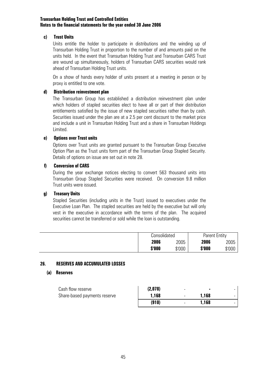## **c) Trust Units**

Units entitle the holder to participate in distributions and the winding up of Transurban Holding Trust in proportion to the number of and amounts paid on the units held. In the event that Transurban Holding Trust and Transurban CARS Trust are wound up simultaneously, holders of Transurban CARS securities would rank ahead of Transurban Holding Trust units.

On a show of hands every holder of units present at a meeting in person or by proxy is entitled to one vote.

## **d) Distribution reinvestment plan**

The Transurban Group has established a distribution reinvestment plan under which holders of stapled securities elect to have all or part of their distribution entitlements satisfied by the issue of new stapled securities rather than by cash. Securities issued under the plan are at a 2.5 per cent discount to the market price and include a unit in Transurban Holding Trust and a share in Transurban Holdings Limited.

## **e) Options over Trust units**

Options over Trust units are granted pursuant to the Transurban Group Executive Option Plan as the Trust units form part of the Transurban Group Stapled Security. Details of options on issue are set out in note 28.

## **f) Conversion of CARS**

During the year exchange notices electing to convert 563 thousand units into Transurban Group Stapled Securities were received. On conversion 9.8 million Trust units were issued.

# **g) Treasury Units**

Stapled Securities (including units in the Trust) issued to executives under the Executive Loan Plan. The stapled securities are held by the executive but will only vest in the executive in accordance with the terms of the plan. The acquired securities cannot be transferred or sold while the loan is outstanding.

| Consolidated |        | <b>Parent Entity</b> |        |
|--------------|--------|----------------------|--------|
| 2006         | 2005   | 2006                 | 2005   |
| \$'000       | \$'000 | \$'000               | \$'000 |

## **26. RESERVES AND ACCUMULATED LOSSES**

## **(a) Reserves**

| Cash flow reserve            | (2,078) | -      |       | - |
|------------------------------|---------|--------|-------|---|
| Share-based payments reserve | 1,168   | $\sim$ | 1.168 | - |
|                              | (910)   |        | 1.168 |   |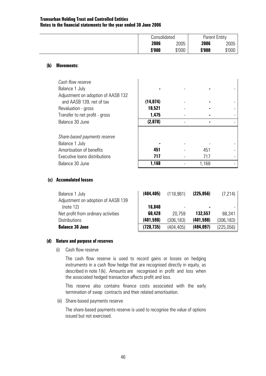| Consolidated |        | <b>Parent Entity</b> |        |
|--------------|--------|----------------------|--------|
| 2006         | 2005   | 2006                 | 2005   |
| \$'000       | \$'000 | \$'000               | \$'000 |

### **(b) Movements:**

| Cash flow reserve<br>Balance 1 July<br>Adjustment on adoption of AASB 132 |           |       |  |
|---------------------------------------------------------------------------|-----------|-------|--|
| and AASB 139, net of tax                                                  | (14, 074) |       |  |
| Revaluation - gross                                                       | 10,521    |       |  |
| Transfer to net profit - gross                                            | 1,475     |       |  |
| Balance 30 June                                                           | (2,078)   |       |  |
|                                                                           |           |       |  |
| Share-based payments reserve                                              |           |       |  |
| Balance 1 July                                                            |           |       |  |
| Amortisation of benefits                                                  | 451       | 451   |  |
| Executive loans distributions                                             | 717       | 717   |  |
| Balance 30 June                                                           | 1.168     | 1,168 |  |

### **(c) Accumulated losses**

| Balance 1 July                      | (404, 405) | (118,981)  | (225, 056) | (7, 214)   |
|-------------------------------------|------------|------------|------------|------------|
| Adjustment on adoption of AASB 139  |            |            |            |            |
| (note 12)                           | 16,840     |            |            |            |
| Net profit from ordinary activities | 60,428     | 20.759     | 132,557    | 88,341     |
| <b>Distributions</b>                | (401, 598) | (306, 183) | (401, 598) | (306, 183) |
| <b>Balance 30 June</b>              | (728, 735) | (404.405)  | (494, 097) | (225,056)  |

## **(d) Nature and purpose of reserves**

(i) Cash flow reserve

 The cash flow reserve is used to record gains or losses on hedging instruments in a cash flow hedge that are recognised directly in equity, as described in note 1(k). Amounts are recognised in profit and loss when the associated hedged transaction affects profit and loss.

 This reserve also contains finance costs associated with the early termination of swap contracts and their related amortisation.

(ii) Share-based payments reserve

 The share-based payments reserve is used to recognise the value of options issued but not exercised.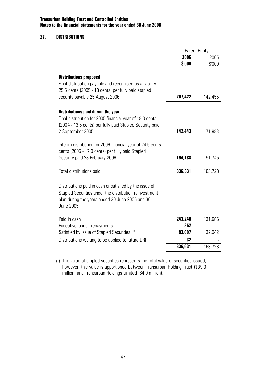### **27. DISTRIBUTIONS**

|                                                                                                                                                                                          | <b>Parent Entity</b> |         |
|------------------------------------------------------------------------------------------------------------------------------------------------------------------------------------------|----------------------|---------|
|                                                                                                                                                                                          | 2006                 | 2005    |
|                                                                                                                                                                                          | \$'000               | \$'000  |
| <b>Distributions proposed</b><br>Final distribution payable and recognised as a liability:<br>25.5 cents (2005 - 18 cents) per fully paid stapled<br>security payable 25 August 2006     | 207,422              | 142,455 |
| <b>Distributions paid during the year</b><br>Final distribution for 2005 financial year of 18.0 cents<br>(2004 - 13.5 cents) per fully paid Stapled Security paid<br>2 September 2005    | 142,443              | 71,983  |
| Interim distribution for 2006 financial year of 24.5 cents<br>cents (2005 - 17.0 cents) per fully paid Stapled<br>Security paid 28 February 2006                                         | 194,188              | 91,745  |
| Total distributions paid                                                                                                                                                                 | 336,631              | 163,728 |
| Distributions paid in cash or satisfied by the issue of<br>Stapled Securities under the distribution reinvestment<br>plan during the years ended 30 June 2006 and 30<br><b>June 2005</b> |                      |         |
| Paid in cash                                                                                                                                                                             | 243,240              | 131,686 |
| Executive loans - repayments                                                                                                                                                             | 352                  |         |
| Satisfied by issue of Stapled Securities <sup>(1)</sup>                                                                                                                                  | 93,007               | 32,042  |
| Distributions waiting to be applied to future DRP                                                                                                                                        | 32                   |         |
|                                                                                                                                                                                          | 336,631              | 163,728 |

(1) The value of stapled securities represents the total value of securities issued, however, this value is apportioned between Transurban Holding Trust (\$89.0 million) and Transurban Holdings Limited (\$4.0 million).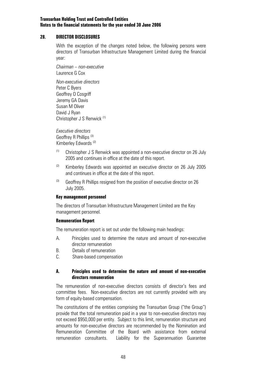## **28. DIRECTOR DISCLOSURES**

 With the exception of the changes noted below, the following persons were directors of Transurban Infrastructure Management Limited during the financial year:

 *Chairman – non-executive*  Laurence G Cox

 *Non-executive directors*  Peter C Byers Geoffrey O Cosgriff Jeremy GA Davis Susan M Oliver David J Ryan Christopher J S Renwick (1)

 *Executive directors*  Geoffrey R Phillips<sup>(3)</sup> Kimberley Edwards (2)

- $(1)$  Christopher J S Renwick was appointed a non-executive director on 26 July 2005 and continues in office at the date of this report.
- $(2)$  Kimberley Edwards was appointed an executive director on 26 July 2005 and continues in office at the date of this report.
- $(3)$  Geoffrey R Phillips resigned from the position of executive director on 26 July 2005.

#### **Key management personnel**

The directors of Transurban Infrastructure Management Limited are the Key management personnel.

## **Remuneration Report**

The remuneration report is set out under the following main headings:

- A. Principles used to determine the nature and amount of non-executive director remuneration
- B. Details of remuneration
- C. Share-based compensation

## **A. Principles used to determine the nature and amount of non-executive directors remuneration**

The remuneration of non-executive directors consists of director's fees and committee fees. Non-executive directors are not currently provided with any form of equity-based compensation.

The constitutions of the entities comprising the Transurban Group ("the Group") provide that the total remuneration paid in a year to non-executive directors may not exceed \$950,000 per entity. Subject to this limit, remuneration structure and amounts for non-executive directors are recommended by the Nomination and Remuneration Committee of the Board with assistance from external remuneration consultants. Liability for the Superannuation Guarantee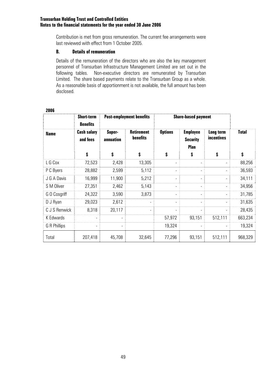Contribution is met from gross remuneration. The current fee arrangements were last reviewed with effect from 1 October 2005.

## **B. Details of remuneration**

Details of the remuneration of the directors who are also the key management personnel of Transurban Infrastructure Management Limited are set out in the following tables. Non-executive directors are remunerated by Transurban Limited. The share based payments relate to the Transurban Group as a whole. As a reasonable basis of apportionment is not available, the full amount has been disclosed.

|               | <b>Short-term</b><br><b>Benefits</b> | <b>Post-employment benefits</b> |                                      | <b>Share-based payment</b> |                                                   |                         |              |
|---------------|--------------------------------------|---------------------------------|--------------------------------------|----------------------------|---------------------------------------------------|-------------------------|--------------|
| <b>Name</b>   | <b>Cash salary</b><br>and fees       | Super-<br>annuation             | <b>Retirement</b><br><b>benefits</b> | <b>Options</b>             | <b>Employee</b><br><b>Security</b><br><b>Plan</b> | Long term<br>incentives | <b>Total</b> |
|               | \$                                   | \$                              | \$                                   | \$                         | \$                                                | \$                      | \$           |
| L G Cox       | 72,523                               | 2,428                           | 13,305                               |                            |                                                   |                         | 88,256       |
| P C Byers     | 28,882                               | 2,599                           | 5,112                                | -                          |                                                   |                         | 36,593       |
| J G A Davis   | 16,999                               | 11,900                          | 5,212                                | $\overline{\phantom{0}}$   |                                                   | $\overline{a}$          | 34,111       |
| S M Oliver    | 27,351                               | 2,462                           | 5,143                                | -                          |                                                   |                         | 34,956       |
| G O Cosgriff  | 24,322                               | 3,590                           | 3,873                                | $\overline{\phantom{0}}$   |                                                   |                         | 31,785       |
| D J Ryan      | 29,023                               | 2,612                           |                                      |                            |                                                   |                         | 31,635       |
| C J S Renwick | 8,318                                | 20,117                          | $\overline{\phantom{a}}$             | $\overline{\phantom{0}}$   |                                                   | $\overline{a}$          | 28,435       |
| K Edwards     |                                      |                                 |                                      | 57,972                     | 93,151                                            | 512,111                 | 663,234      |
| G R Phillips  | $\overline{\phantom{0}}$             | $\overline{\phantom{a}}$        |                                      | 19,324                     |                                                   |                         | 19,324       |
| Total         | 207,418                              | 45,708                          | 32,645                               | 77,296                     | 93,151                                            | 512,111                 | 968,329      |

#### **2006**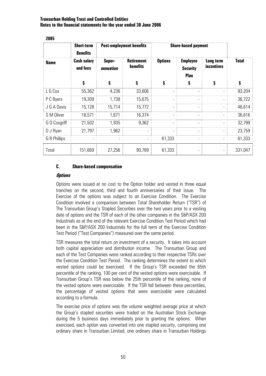| LUUJ         | <b>Short-term</b><br><b>Benefits</b> | <b>Post-employment benefits</b> |                                      | <b>Share-based payment</b> |                                                   |                                |              |
|--------------|--------------------------------------|---------------------------------|--------------------------------------|----------------------------|---------------------------------------------------|--------------------------------|--------------|
| <b>Name</b>  | <b>Cash salary</b><br>and fees       | Super-<br>annuation             | <b>Retirement</b><br><b>benefits</b> | <b>Options</b>             | <b>Employee</b><br><b>Security</b><br><b>Plan</b> | Long term<br><i>incentives</i> | <b>Total</b> |
|              | \$                                   | \$                              | \$                                   | \$                         | \$                                                | \$                             | \$           |
| L G Cox      | 55,362                               | 4,236                           | 33,606                               |                            |                                                   |                                | 93,204       |
| P C Byers    | 19,309                               | 1,738                           | 15,675                               | $\overline{\phantom{a}}$   |                                                   | $\qquad \qquad$                | 36,722       |
| J G A Davis  | 15,128                               | 15,714                          | 15,772                               |                            |                                                   | $\overline{\phantom{0}}$       | 46,614       |
| S M Oliver   | 18,571                               | 1,671                           | 16,374                               |                            |                                                   | $\qquad \qquad$                | 36,616       |
| G O Cosgriff | 21,502                               | 1,935                           | 9,362                                |                            |                                                   |                                | 32,799       |
| D J Ryan     | 21,797                               | 1,962                           |                                      |                            |                                                   | $\overline{\phantom{0}}$       | 23,759       |
| G R Phillips |                                      | $\overline{\phantom{a}}$        |                                      | 61,333                     |                                                   | ٠                              | 61,333       |
| Total        | 151,669                              | 27,256                          | 90,789                               | 61,333                     |                                                   | $\overline{a}$                 | 331,047      |

### **C. Share-based compensation**

### **Options**

**2005** 

Options were issued at no cost to the Option holder and vested in three equal tranches on the second, third and fourth anniversaries of their issue. The Exercise of the options was subject to an Exercise Condition. The Exercise Condition involved a comparison between Total Shareholder Return ("TSR") of The Transurban Group's Stapled Securities over the two years prior to a vesting date of options and the TSR of each of the other companies in the S&P/ASX 200 Industrials as at the end of the relevant Exercise Condition Test Period which had been in the S&P/ASX 200 Industrials for the full term of the Exercise Condition Test Period ("Test Companies") measured over the same period.

TSR measures the total return on investment of a security. It takes into account both capital appreciation and distribution income. The Transurban Group and each of the Test Companies were ranked according to their respective TSRs over the Exercise Condition Test Period. The ranking determines the extent to which vested options could be exercised. If the Group's TSR exceeded the 65th percentile of the ranking, 100 per cent of the vested options were exercisable. If Transurban Group's TSR was below the 25th percentile of the ranking, none of the vested options were exercisable. If the TSR fell between these percentiles, the percentage of vested options that were exercisable were calculated according to a formula.

The exercise price of options was the volume weighted average price at which the Group's stapled securities were traded on the Australian Stock Exchange during the 5 business days immediately prior to granting the options. When exercised, each option was converted into one stapled security, comprising one ordinary share in Transurban Limited, one ordinary share in Transurban Holdings

50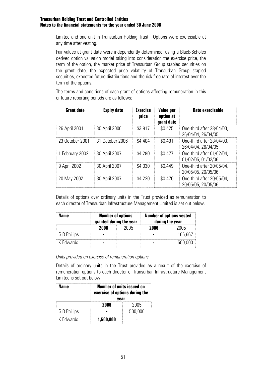Limited and one unit in Transurban Holding Trust. Options were exercisable at any time after vesting.

Fair values at grant date were independently determined, using a Black-Scholes derived option valuation model taking into consideration the exercise price, the term of the option, the market price of Transurban Group stapled securities on the grant date, the expected price volatility of Transurban Group stapled securities, expected future distributions and the risk free rate of interest over the term of the options.

The terms and conditions of each grant of options affecting remuneration in this or future reporting periods are as follows:

| <b>Grant date</b> | <b>Expiry date</b> | <b>Exercise</b><br>price | <b>Value per</b><br>option at<br>grant date | <b>Date exercisable</b>                         |
|-------------------|--------------------|--------------------------|---------------------------------------------|-------------------------------------------------|
| 26 April 2001     | 30 April 2006      | \$3.817                  | \$0.425                                     | One-third after 28/04/03,<br>26/04/04, 26/04/05 |
| 23 October 2001   | 31 October 2006    | \$4.404                  | \$0.491                                     | One-third after 28/04/03,<br>26/04/04, 26/04/05 |
| 1 February 2002   | 30 April 2007      | \$4.280                  | \$0.477                                     | One-third after 01/02/04,<br>01/02/05, 01/02/06 |
| 9 April 2002      | 30 April 2007      | \$4.030                  | \$0.449                                     | One-third after 20/05/04,<br>20/05/05, 20/05/06 |
| 20 May 2002       | 30 April 2007      | \$4.220                  | \$0.470                                     | One-third after 20/05/04,<br>20/05/05, 20/05/06 |

Details of options over ordinary units in the Trust provided as remuneration to each director of Transurban Infrastructure Management Limited is set out below.

| Name         | <b>Number of options</b><br>granted during the year |      | <b>Number of options vested</b><br>during the year |         |  |
|--------------|-----------------------------------------------------|------|----------------------------------------------------|---------|--|
|              | 2NNƘ                                                | 2005 | 2006                                               | 211114  |  |
| G R Phillips |                                                     |      |                                                    | 166.667 |  |
| K Fdwards    |                                                     |      |                                                    | 500.000 |  |

*Units provided on exercise of remuneration options* 

Details of ordinary units in the Trust provided as a result of the exercise of remuneration options to each director of Transurban Infrastructure Management Limited is set out below:

| Name         | <b>Number of units issued on</b><br>exercise of options during the<br>vear |         |  |  |  |
|--------------|----------------------------------------------------------------------------|---------|--|--|--|
|              | 2NNƘ                                                                       | 2005    |  |  |  |
| G R Phillips |                                                                            | 500,000 |  |  |  |
| K Fdwards    | 1,500,000                                                                  |         |  |  |  |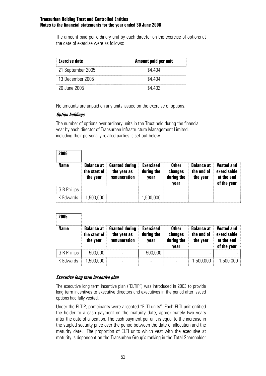The amount paid per ordinary unit by each director on the exercise of options at the date of exercise were as follows:

| <b>Exercise date</b> | Amount paid per unit |
|----------------------|----------------------|
| 21 September 2005    | \$4.404              |
| -13 December 2005    | \$4.404              |
| -20 June 2005        | S4 402               |

No amounts are unpaid on any units issued on the exercise of options.

# **Option holdings**

The number of options over ordinary units in the Trust held during the financial year by each director of Transurban Infrastructure Management Limited, including their personally related parties is set out below.

| 2006         |                                               |                                                      |                                        |                                               |                                             |                                                               |
|--------------|-----------------------------------------------|------------------------------------------------------|----------------------------------------|-----------------------------------------------|---------------------------------------------|---------------------------------------------------------------|
| Name         | <b>Balance at</b><br>the start of<br>the year | <b>Granted during</b><br>the year as<br>remuneration | <b>Exercised</b><br>during the<br>vear | <b>Other</b><br>changes<br>during the<br>year | <b>Balance at</b><br>the end of<br>the year | <b>Vested and</b><br>exercisable<br>at the end<br>of the year |
| G R Phillips |                                               |                                                      |                                        |                                               |                                             |                                                               |
| K Edwards    | 1,500,000                                     |                                                      | 1,500,000                              |                                               |                                             |                                                               |

| 2005         |                                               |                                                      |                                        |                                               |                                             |                                                               |
|--------------|-----------------------------------------------|------------------------------------------------------|----------------------------------------|-----------------------------------------------|---------------------------------------------|---------------------------------------------------------------|
| <b>Name</b>  | <b>Balance at</b><br>the start of<br>the year | <b>Granted during</b><br>the year as<br>remuneration | <b>Exercised</b><br>during the<br>year | <b>Other</b><br>changes<br>during the<br>vear | <b>Balance at</b><br>the end of<br>the year | <b>Vested and</b><br>exercisable<br>at the end<br>of the year |
| G R Phillips | 500,000                                       |                                                      | 500,000                                |                                               |                                             |                                                               |
| K Edwards    | ,500,000                                      |                                                      |                                        |                                               | 1,500,000                                   | 1,500,000                                                     |

## **Executive long term incentive plan**

The executive long term incentive plan ("ELTIP") was introduced in 2003 to provide long term incentives to executive directors and executives in the period after issued options had fully vested.

Under the ELTIP, participants were allocated "ELTI units". Each ELTI unit entitled the holder to a cash payment on the maturity date, approximately two years after the date of allocation. The cash payment per unit is equal to the increase in the stapled security price over the period between the date of allocation and the maturity date. The proportion of ELTI units which vest with the executive at maturity is dependent on the Transurban Group's ranking in the Total Shareholder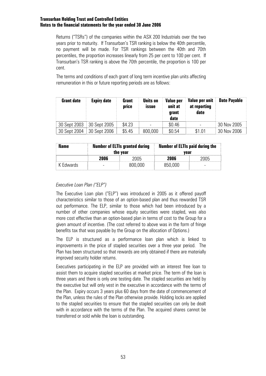Returns ("TSRs") of the companies within the ASX 200 Industrials over the two years prior to maturity. If Transurban's TSR ranking is below the 40th percentile, no payment will be made. For TSR rankings between the 40th and 70th percentiles, the proportion increases linearly from 25 per cent to 100 per cent. If Transurban's TSR ranking is above the 70th percentile, the proportion is 100 per cent.

The terms and conditions of each grant of long term incentive plan units affecting remuneration in this or future reporting periods are as follows:

| <b>Grant date</b> | <b>Expiry date</b> | Grant<br>price | <b>Units on</b><br><b>ISSUE</b> | Value per<br>unit at<br>grant<br>date | Value per unit<br>at reporting<br>date | <b>Date Payable</b> |
|-------------------|--------------------|----------------|---------------------------------|---------------------------------------|----------------------------------------|---------------------|
| 30 Sept 2003      | 30 Sept 2005       | \$4.23         |                                 | \$0.46                                |                                        | 30 Nov 2005         |
| 30 Sept 2004      | 30 Sept 2006       | \$5.45         | 800,000                         | \$0.54                                | \$1.01                                 | 30 Nov 2006         |

| Name      | <b>Number of ELTIs granted during</b><br>the year |         | <b>Number of ELTIs paid during the</b><br>vear |      |  |
|-----------|---------------------------------------------------|---------|------------------------------------------------|------|--|
|           | 2006                                              | 'NUZ    | 2006                                           | 2005 |  |
| K Fdwards |                                                   | 800,000 | 850,000                                        |      |  |

# *Executive Loan Plan ("ELP")*

The Executive Loan plan ("ELP") was introduced in 2005 as it offered payoff characteristics similar to those of an option-based plan and thus rewarded TSR out performance. The ELP, similar to those which had been introduced by a number of other companies whose equity securities were stapled, was also more cost effective than an option-based plan in terms of cost to the Group for a given amount of incentive. (The cost referred to above was in the form of fringe benefits tax that was payable by the Group on the allocation of Options.)

The ELP is structured as a performance loan plan which is linked to improvements in the price of stapled securities over a three year period. The Plan has been structured so that rewards are only obtained if there are materially improved security holder returns.

Executives participating in the ELP are provided with an interest free loan to assist them to acquire stapled securities at market price. The term of the loan is three years and there is only one testing date. The stapled securities are held by the executive but will only vest in the executive in accordance with the terms of the Plan. Expiry occurs 3 years plus 60 days from the date of commencement of the Plan, unless the rules of the Plan otherwise provide. Holding locks are applied to the stapled securities to ensure that the stapled securities can only be dealt with in accordance with the terms of the Plan. The acquired shares cannot be transferred or sold while the loan is outstanding.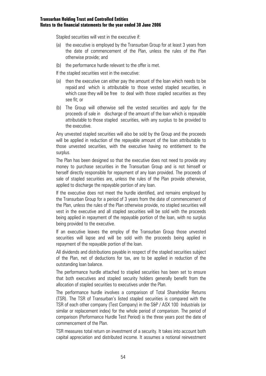Stapled securities will vest in the executive if:

- (a) the executive is employed by the Transurban Group for at least 3 years from the date of commencement of the Plan, unless the rules of the Plan otherwise provide; and
- (b) the performance hurdle relevant to the offer is met.

If the stapled securities vest in the executive:

- (a) then the executive can either pay the amount of the loan which needs to be repaid and which is attributable to those vested stapled securities, in which case they will be free to deal with those stapled securities as they see fit; or
- (b) The Group will otherwise sell the vested securities and apply for the proceeds of sale in discharge of the amount of the loan which is repayable attributable to those stapled securities, with any surplus to be provided to the executive.

Any unvested stapled securities will also be sold by the Group and the proceeds will be applied in reduction of the repayable amount of the loan attributable to those unvested securities, with the executive having no entitlement to the surplus.

The Plan has been designed so that the executive does not need to provide any money to purchase securities in the Transurban Group and is not himself or herself directly responsible for repayment of any loan provided. The proceeds of sale of stapled securities are, unless the rules of the Plan provide otherwise, applied to discharge the repayable portion of any loan.

If the executive does not meet the hurdle identified, and remains employed by the Transurban Group for a period of 3 years from the date of commencement of the Plan, unless the rules of the Plan otherwise provide, no stapled securities will vest in the executive and all stapled securities will be sold with the proceeds being applied in repayment of the repayable portion of the loan, with no surplus being provided to the executive.

If an executive leaves the employ of the Transurban Group those unvested securities will lapse and will be sold with the proceeds being applied in repayment of the repayable portion of the loan.

All dividends and distributions payable in respect of the stapled securities subject of the Plan, net of deductions for tax, are to be applied in reduction of the outstanding loan balance.

The performance hurdle attached to stapled securities has been set to ensure that both executives and stapled security holders generally benefit from the allocation of stapled securities to executives under the Plan.

The performance hurdle involves a comparison of Total Shareholder Returns (TSR). The TSR of Transurban's listed stapled securities is compared with the TSR of each other company (Test Company) in the S&P / ASX 100 Industrials (or similar or replacement index) for the whole period of comparison. The period of comparison (Performance Hurdle Test Period) is the three years post the date of commencement of the Plan.

TSR measures total return on investment of a security. It takes into account both capital appreciation and distributed income. It assumes a notional reinvestment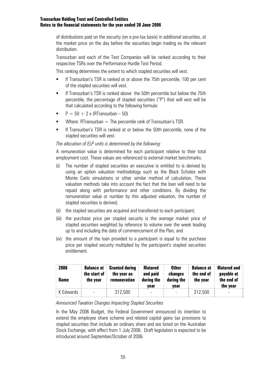of distributions paid on the security (on a pre-tax basis) in additional securities, at the market price on the day before the securities begin trading ex the relevant distribution.

Transurban and each of the Test Companies will be ranked according to their respective TSRs over the Performance Hurdle Test Period.

This ranking determines the extent to which stapled securities will vest.

- **If Transurban's TSR is ranked at or above the 75th percentile, 100 per cent** of the stapled securities will vest.
- **If Transurban's TSR is ranked above the 50th percentile but below the 75th** percentile, the percentage of stapled securities ("P") that will vest will be that calculated according to the following formula:
- $P = 50 + 2 \times (RTransurban 50)$
- Where: RTransurban  $=$  The percentile rank of Transurban's TSR.
- If Transurban's TSR is ranked at or below the 50th percentile, none of the stapled securities will vest.

## *The allocation of ELP units is determined by the following:*

A remuneration value is determined for each participant relative to their total employment cost. These values are referenced to external market benchmarks.

- (i) The number of stapled securities an executive is entitled to is derived by using an option valuation methodology such as the Black Scholes with Monte Carlo simulations or other similar method of calculation. These valuation methods take into account the fact that the loan will need to be repaid along with performance and other conditions. By dividing the remuneration value or number by this adjusted valuation, the number of stapled securities is derived;
- (ii) the stapled securities are acquired and transferred to each participant;
- (iii) the purchase price per stapled security is the average market price of stapled securities weighted by reference to volume over the week leading up to and including the date of commencement of the Plan; and
- (iv) the amount of the loan provided to a participant is equal to the purchase price per stapled security multiplied by the participant's stapled securities entitlement.

| 2006<br>Name | <b>Balance at</b><br>the start of<br>the year | <b>Granted during</b><br>the year as<br>remuneration | Matured<br>and paid<br>during the<br>vear | <b>Other</b><br>changes<br>during the<br>vear | <b>Balance at</b><br>the end of<br>the year | <b>Matured and</b><br>payable at<br>the end of<br>the year |
|--------------|-----------------------------------------------|------------------------------------------------------|-------------------------------------------|-----------------------------------------------|---------------------------------------------|------------------------------------------------------------|
| K Edwards    | $\overline{\phantom{0}}$                      | 312,500                                              |                                           |                                               | 312.500                                     |                                                            |

## *Announced Taxation Changes Impacting Stapled Securities*

In the May 2006 Budget, the Federal Government announced its intention to extend the employee share scheme and related capital gains tax provisions to stapled securities that include an ordinary share and are listed on the Australian Stock Exchange, with effect from 1 July 2006. Draft legislation is expected to be introduced around September/October of 2006.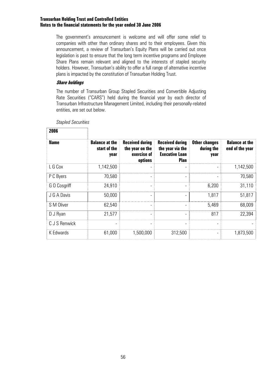The government's announcement is welcome and will offer some relief to companies with other than ordinary shares and to their employees. Given this announcement, a review of Transurban's Equity Plans will be carried out once legislation is past to ensure that the long term incentive programs and Employee Share Plans remain relevant and aligned to the interests of stapled security holders. However, Transurban's ability to offer a full range of alternative incentive plans is impacted by the constitution of Transurban Holding Trust.

## **Share holdings**

The number of Transurban Group Stapled Securities and Convertible Adjusting Rate Securities ("CARS") held during the financial year by each director of Transurban Infrastructure Management Limited, including their personally-related entities, are set out below.

| 2006          |                                               |                                                                     |                                                                                    |                                            |                                          |
|---------------|-----------------------------------------------|---------------------------------------------------------------------|------------------------------------------------------------------------------------|--------------------------------------------|------------------------------------------|
| <b>Name</b>   | <b>Balance at the</b><br>start of the<br>year | <b>Received during</b><br>the year on the<br>exercise of<br>options | <b>Received during</b><br>the year via the<br><b>Executive Loan</b><br><b>Plan</b> | <b>Other changes</b><br>during the<br>year | <b>Balance at the</b><br>end of the year |
| L G Cox       | 1,142,500                                     |                                                                     |                                                                                    |                                            | 1,142,500                                |
| P C Byers     | 70,580                                        |                                                                     |                                                                                    |                                            | 70,580                                   |
| G O Cosgriff  | 24,910                                        | $\qquad \qquad \blacksquare$                                        |                                                                                    | 6,200                                      | 31,110                                   |
| J G A Davis   | 50,000                                        | $\qquad \qquad \blacksquare$                                        |                                                                                    | 1,817                                      | 51,817                                   |
| S M Oliver    | 62,540                                        | $\overline{\phantom{a}}$                                            |                                                                                    | 5,469                                      | 68,009                                   |
| D J Ryan      | 21,577                                        | $\qquad \qquad \blacksquare$                                        |                                                                                    | 817                                        | 22,394                                   |
| C J S Renwick |                                               |                                                                     |                                                                                    |                                            |                                          |
| K Edwards     | 61,000                                        | 1,500,000                                                           | 312,500                                                                            |                                            | 1,873,500                                |

*Stapled Securities*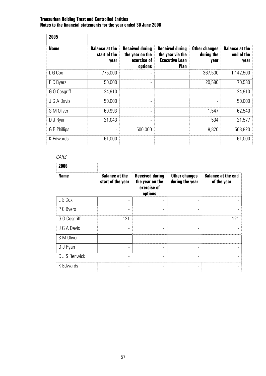| 2005         |                                               |                                                                     |                                                                                    |                                            |                                             |
|--------------|-----------------------------------------------|---------------------------------------------------------------------|------------------------------------------------------------------------------------|--------------------------------------------|---------------------------------------------|
| <b>Name</b>  | <b>Balance at the</b><br>start of the<br>year | <b>Received during</b><br>the year on the<br>exercise of<br>options | <b>Received during</b><br>the year via the<br><b>Executive Loan</b><br><b>Plan</b> | <b>Other changes</b><br>during the<br>year | <b>Balance at the</b><br>end of the<br>year |
| L G Cox      | 775,000                                       |                                                                     |                                                                                    | 367,500                                    | 1,142,500                                   |
| P C Byers    | 50,000                                        | $\overline{\phantom{0}}$                                            |                                                                                    | 20,580                                     | 70,580                                      |
| G O Cosgriff | 24,910                                        | ۰                                                                   |                                                                                    |                                            | 24,910                                      |
| J G A Davis  | 50,000                                        | ۰                                                                   |                                                                                    |                                            | 50,000                                      |
| S M Oliver   | 60,993                                        | $\overline{\phantom{a}}$                                            |                                                                                    | 1,547                                      | 62,540                                      |
| D J Ryan     | 21,043                                        |                                                                     |                                                                                    | 534                                        | 21,577                                      |
| G R Phillips |                                               | 500,000                                                             |                                                                                    | 8,820                                      | 508,820                                     |
| K Edwards    | 61,000                                        |                                                                     |                                                                                    |                                            | 61,000                                      |

# *CARS*

| 2006          |                                            |                                                                     |                                         |                                          |
|---------------|--------------------------------------------|---------------------------------------------------------------------|-----------------------------------------|------------------------------------------|
| <b>Name</b>   | <b>Balance at the</b><br>start of the year | <b>Received during</b><br>the year on the<br>exercise of<br>options | <b>Other changes</b><br>during the year | <b>Balance at the end</b><br>of the year |
| L G Cox       |                                            |                                                                     | $\overline{\phantom{0}}$                |                                          |
| P C Byers     |                                            |                                                                     |                                         |                                          |
| G O Cosgriff  | 121                                        |                                                                     | -                                       | 121                                      |
| J G A Davis   |                                            |                                                                     |                                         |                                          |
| S M Oliver    | -                                          |                                                                     |                                         |                                          |
| D J Ryan      |                                            |                                                                     |                                         |                                          |
| C J S Renwick |                                            | ۰                                                                   |                                         |                                          |
| K Edwards     |                                            |                                                                     |                                         |                                          |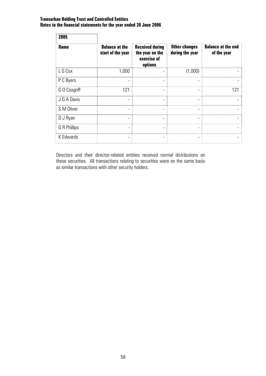| 2005         |                                            |                                                                     |                                         |                                          |
|--------------|--------------------------------------------|---------------------------------------------------------------------|-----------------------------------------|------------------------------------------|
| <b>Name</b>  | <b>Balance at the</b><br>start of the year | <b>Received during</b><br>the year on the<br>exercise of<br>options | <b>Other changes</b><br>during the year | <b>Balance at the end</b><br>of the year |
| L G Cox      | 1,000                                      |                                                                     | (1,000)                                 |                                          |
| P C Byers    |                                            | ٠                                                                   |                                         |                                          |
| G O Cosgriff | 121                                        |                                                                     |                                         | 121                                      |
| J G A Davis  | ۰                                          | $\blacksquare$                                                      | ۰                                       |                                          |
| S M Oliver   |                                            | ٠                                                                   | ۰                                       |                                          |
| D J Ryan     |                                            |                                                                     |                                         |                                          |
| G R Phillips | -                                          | $\qquad \qquad \blacksquare$                                        | $\overline{\phantom{a}}$                |                                          |
| K Edwards    |                                            |                                                                     |                                         |                                          |

Directors and their director-related entities received normal distributions on these securities. All transactions relating to securities were on the same basis as similar transactions with other security holders.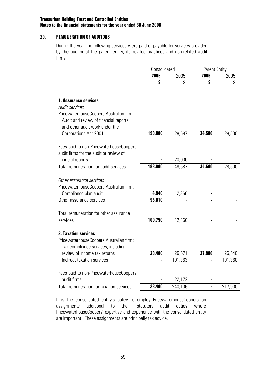## **29. REMUNERATION OF AUDITORS**

During the year the following services were paid or payable for services provided by the auditor of the parent entity, its related practices and non-related audit firms:

| Consolidated |        | <b>Parent Entity</b> |         |
|--------------|--------|----------------------|---------|
| 2006         | 2005   | 2006                 | 2005    |
|              | ₼<br>J |                      | ጦ<br>۰D |

| <b>1. Assurance services</b><br><b>Audit services</b>  |         |         |        |         |
|--------------------------------------------------------|---------|---------|--------|---------|
| PricewaterhouseCoopers Australian firm:                |         |         |        |         |
| Audit and review of financial reports                  |         |         |        |         |
| and other audit work under the                         |         |         |        |         |
| Corporations Act 2001.                                 | 198,000 | 28,587  | 34,500 | 28,500  |
|                                                        |         |         |        |         |
| Fees paid to non-PricewaterhouseCoopers                |         |         |        |         |
| audit firms for the audit or review of                 |         |         |        |         |
| financial reports                                      |         | 20,000  |        |         |
| Total remuneration for audit services                  | 198,000 | 48,587  | 34,500 | 28,500  |
|                                                        |         |         |        |         |
| Other assurance services                               |         |         |        |         |
| PricewaterhouseCoopers Australian firm:                |         |         |        |         |
| Compliance plan audit                                  | 4,940   | 12,360  |        |         |
| Other assurance services                               | 95,810  |         |        |         |
|                                                        |         |         |        |         |
| Total remuneration for other assurance                 |         |         |        |         |
| services                                               | 100,750 | 12,360  |        |         |
|                                                        |         |         |        |         |
| <b>2. Taxation services</b>                            |         |         |        |         |
| PricewaterhouseCoopers Australian firm:                |         |         |        |         |
| Tax compliance services, including                     |         |         |        |         |
| review of income tax returns                           | 28,400  | 26,571  | 27,900 | 26,540  |
| Indirect taxation services                             |         | 191,363 |        | 191,360 |
|                                                        |         |         |        |         |
| Fees paid to non-PricewaterhouseCoopers<br>audit firms |         |         |        |         |
|                                                        |         | 22,172  |        |         |
| Total remuneration for taxation services               | 28,400  | 240,106 |        | 217,900 |

It is the consolidated entity's policy to employ PricewaterhouseCoopers on assignments additional to their statutory audit duties where PricewaterhouseCoopers' expertise and experience with the consolidated entity are important. These assignments are principally tax advice.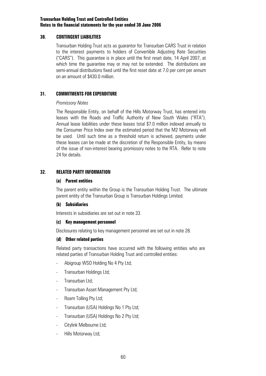## **30. CONTINGENT LIABILITIES**

Transurban Holding Trust acts as guarantor for Transurban CARS Trust in relation to the interest payments to holders of Convertible Adjusting Rate Securities ("CARS"). This guarantee is in place until the first reset date, 14 April 2007, at which time the guarantee may or may not be extended. The distributions are semi-annual distributions fixed until the first reset date at 7.0 per cent per annum on an amount of \$430.0 million.

## **31. COMMITMENTS FOR EXPENDITURE**

### *Promissory Notes*

The Responsible Entity, on behalf of the Hills Motorway Trust, has entered into leases with the Roads and Traffic Authority of New South Wales ("RTA"). Annual lease liabilities under these leases total \$7.0 million indexed annually to the Consumer Price Index over the estimated period that the M2 Motorway will be used. Until such time as a threshold return is achieved, payments under these leases can be made at the discretion of the Responsible Entity, by means of the issue of non-interest bearing promissory notes to the RTA. Refer to note 24 for details.

# **32. RELATED PARTY INFORMATION**

### **(a) Parent entities**

The parent entity within the Group is the Transurban Holding Trust. The ultimate parent entity of the Transurban Group is Transurban Holdings Limited.

## **(b) Subsidiaries**

Interests in subsidiaries are set out in note 33.

## **(c) Key management personnel**

Disclosures relating to key management personnel are set out in note 28.

## **(d) Other related parties**

Related party transactions have occurred with the following entities who are related parties of Transurban Holding Trust and controlled entities:

- Abigroup WSO Holding No 4 Pty Ltd;
- Transurban Holdings Ltd;
- Transurban Ltd;
- Transurban Asset Management Pty Ltd;
- Roam Tolling Pty Ltd;
- Transurban (USA) Holdings No 1 Pty Ltd;
- Transurban (USA) Holdings No 2 Pty Ltd;
- Citylink Melbourne Ltd;
- Hills Motorway Ltd;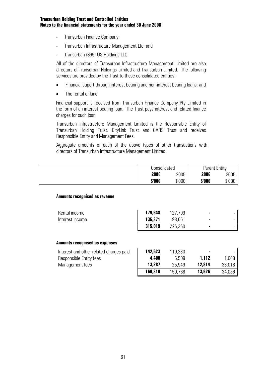- Transurban Finance Company;
- Transurban Infrastructure Management Ltd; and
- Transurban (895) US Holdings LLC

All of the directors of Transurban Infrastructure Management Limited are also directors of Transurban Holdings Limited and Transurban Limited. The following services are provided by the Trust to these consolidated entities:

- Financial suport through interest bearing and non-interest bearing loans; and
- The rental of land.

Financial support is received from Transurban Finance Company Pty Limited in the form of an interest bearing loan. The Trust pays interest and related finance charges for such loan.

Transurban Infrastructure Management Limited is the Responsible Entity of Transurban Holding Trust, CityLink Trust and CARS Trust and receives Responsible Entity and Management Fees.

Aggregate amounts of each of the above types of other transactions with directors of Transurban Infrastructure Management Limited:

| Consolidated |        | <b>Parent Entity</b> |        |
|--------------|--------|----------------------|--------|
| 2006         | 2005   | 2006                 | 2005   |
| \$'000       | \$'000 | \$'000               | \$'000 |

## **Amounts recognised as revenue**

| Rental income<br>Interest income        | 179,648<br>135,371<br>315,019 | 127,709<br>98,651<br>226,360 |        |        |
|-----------------------------------------|-------------------------------|------------------------------|--------|--------|
| <b>Amounts recognised as expenses</b>   |                               |                              |        |        |
| Interest and other related charges paid | 142,623                       | 119,330                      |        |        |
| Responsible Entity fees                 | 4,400                         | 5,509                        | 1,112  | 1,068  |
| Management fees                         | 13,287                        | 25,949                       | 12,814 | 33,018 |
|                                         | 160,310                       | 150,788                      | 13,926 | 34,086 |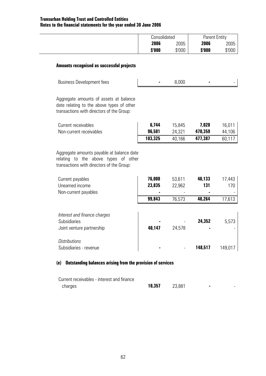| Consolidated |        | <b>Parent Entity</b> |        |
|--------------|--------|----------------------|--------|
| 2006         | 2005   | 2006                 | 2005   |
| \$'000       | \$'000 | \$'000               | \$'000 |

### **Amounts recognised as successful projects**

| <b>Business Development fees</b>                                                                                                 |                 | 8,000            |                  |                  |
|----------------------------------------------------------------------------------------------------------------------------------|-----------------|------------------|------------------|------------------|
| Aggregate amounts of assets at balance<br>date relating to the above types of other<br>transactions with directors of the Group: |                 |                  |                  |                  |
| Current receivables<br>Non-current receivables                                                                                   | 6,744<br>96,581 | 15,845<br>24,321 | 7,028<br>470,359 | 16,011<br>44,106 |
|                                                                                                                                  | 103,325         | 40,166           | 477,387          | 60,117           |
| relating to the above types of other<br>transactions with directors of the Group:                                                |                 |                  |                  |                  |
| Current payables                                                                                                                 | 76,008          | 53,611           | 40,133           | 17,443           |
| Unearned income                                                                                                                  | 23,835          | 22,962           | 131              | 170              |
| Non-current payables                                                                                                             |                 |                  |                  |                  |
|                                                                                                                                  | 99,843          | 76,573           | 40,264           | 17,613           |
| Interest and finance charges<br><b>Subsidiaries</b>                                                                              |                 |                  | 24,352           | 5,573            |
| Joint venture partnership                                                                                                        | 40,147          | 24,578           |                  |                  |

| Distributions          |   |                          |         |         |
|------------------------|---|--------------------------|---------|---------|
| Subsidiaries - revenue | ٠ | $\overline{\phantom{0}}$ | 148,517 | 149.017 |

# **(e) Outstanding balances arising from the provision of services**

| Current receivables - interest and finance |        |        |  |
|--------------------------------------------|--------|--------|--|
| charges                                    | 10,357 | 23,881 |  |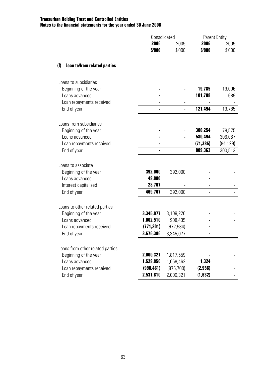| <i><b>Consolidated</b></i> |        | <b>Parent Entity</b> |        |
|----------------------------|--------|----------------------|--------|
| 2006                       | 2005   | 2006                 | 2005   |
| \$'000                     | \$'000 | \$'000               | \$'000 |

# **(f) Loan to/from related parties**

| Loans to subsidiaries<br>Beginning of the year |            |            | 19,785    | 19,096    |
|------------------------------------------------|------------|------------|-----------|-----------|
| Loans advanced                                 |            |            | 101,708   | 689       |
| Loan repayments received                       |            |            |           |           |
| End of year                                    |            |            | 121,494   | 19,785    |
|                                                |            |            |           |           |
| Loans from subsidiaries                        |            |            |           |           |
| Beginning of the year                          |            |            | 300,254   | 78,575    |
| Loans advanced                                 |            |            | 580,494   | 306,067   |
| Loan repayments received                       |            |            | (71, 385) | (84, 129) |
| End of year                                    |            |            | 809,363   | 300,513   |
|                                                |            |            |           |           |
| Loans to associate                             |            |            |           |           |
| Beginning of the year                          | 392,000    | 392,000    |           |           |
| Loans advanced                                 | 49,000     |            |           |           |
| Interest capitalised                           | 28,767     |            |           |           |
| End of year                                    | 469,767    | 392,000    |           |           |
|                                                |            |            |           |           |
| Loans to other related parties                 |            |            |           |           |
| Beginning of the year                          | 3,345,077  | 3,109,226  |           |           |
| Loans advanced                                 | 1,002,510  | 908,435    |           |           |
| Loan repayments received                       | (771, 201) | (672, 584) |           |           |
| End of year                                    | 3,576,386  | 3,345,077  |           |           |
|                                                |            |            |           |           |
| Loans from other related parties               |            |            |           |           |
| Beginning of the year                          | 2,000,321  | 1,817,559  |           |           |
| Loans advanced                                 | 1,529,950  | 1,058,462  | 1,324     |           |
| Loan repayments received                       | (998, 461) | (875, 700) | (2, 956)  |           |
| End of year                                    | 2,531,810  | 2,000,321  | (1, 632)  |           |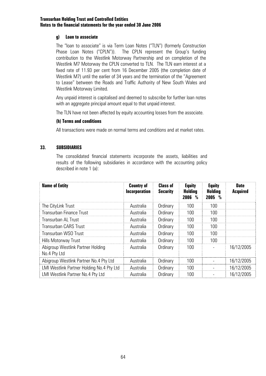## **g) Loan to associate**

The "loan to associate" is via Term Loan Notes ("TLN") (formerly Construction Phase Loan Notes ("CPLN")). The CPLN represent the Group's funding contribution to the Westlink Motorway Partnership and on completion of the Westlink M7 Motorway the CPLN converted to TLN. The TLN earn interest at a fixed rate of 11.93 per cent from 16 December 2005 (the completion date of Westlink M7) until the earlier of 34 years and the termination of the "Agreement to Lease" between the Roads and Traffic Authority of New South Wales and Westlink Motorway Limited.

Any unpaid interest is capitalised and deemed to subscribe for further loan notes with an aggregate principal amount equal to that unpaid interest.

The TLN have not been affected by equity accounting losses from the associate.

## **(h) Terms and conditions**

All transactions were made on normal terms and conditions and at market rates.

# **33. SUBSIDIARIES**

The consolidated financial statements incorporate the assets, liabilities and results of the following subsidiaries in accordance with the accounting policy described in note 1 (a):

| <b>Name of Entity</b>                             | <b>Country of</b><br><b>Incorporation</b> | <b>Class of</b><br><b>Security</b> | <b>Equity</b><br>Holding<br>2006<br>₩ | <b>Equity</b><br>Holding<br>2005 % | <b>Date</b><br><b>Acquired</b> |
|---------------------------------------------------|-------------------------------------------|------------------------------------|---------------------------------------|------------------------------------|--------------------------------|
| The CityLink Trust                                | Australia                                 | Ordinary                           | 100                                   | 100                                |                                |
| Transurban Finance Trust                          | Australia                                 | Ordinary                           | 100                                   | 100                                |                                |
| Transurban Al-Trust                               | Australia                                 | Ordinary                           | 100                                   | 100                                |                                |
| <b>Transurban CARS Trust</b>                      | Australia                                 | Ordinary                           | 100                                   | 100                                |                                |
| Transurban WSO Trust                              | Australia                                 | Ordinary                           | 100                                   | 100                                |                                |
| Hills Motorway Trust                              | Australia                                 | Ordinary                           | 100                                   | 100                                |                                |
| Abigroup Westlink Partner Holding<br>No.4 Pty Ltd | Australia                                 | Ordinary                           | 100                                   |                                    | 16/12/2005                     |
| Abigroup Westlink Partner No.4 Pty Ltd            | Australia                                 | Ordinary                           | 100                                   |                                    | 16/12/2005                     |
| LMI Westlink Partner Holding No.4 Pty Ltd         | Australia                                 | Ordinary                           | 100                                   |                                    | 16/12/2005                     |
| LMI Westlink Partner No.4 Pty Ltd                 | Australia                                 | Ordinary                           | 100                                   |                                    | 16/12/2005                     |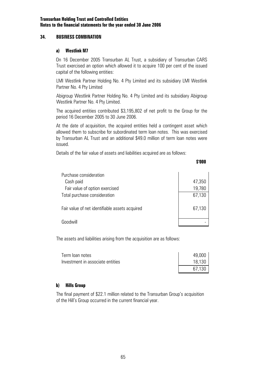## **34. BUSINESS COMBINATION**

## **a) Westlink M7**

On 16 December 2005 Transurban AL Trust, a subsidiary of Transurban CARS Trust exercised an option which allowed it to acquire 100 per cent of the issued capital of the following entities:

 LMI Westlink Partner Holding No. 4 Pty Limited and its subsidiary LMI Westlink Partner No. 4 Pty Limited

 Abigroup Westlink Partner Holding No. 4 Pty Limited and its subsidiary Abigroup Westlink Partner No. 4 Pty Limited.

 The acquired entities contributed \$3,195,802 of net profit to the Group for the period 16 December 2005 to 30 June 2006.

At the date of acquisition, the acquired entities held a contingent asset which allowed them to subscribe for subordinated term loan notes. This was exercised by Transurban AL Trust and an additional \$49.0 million of term loan notes were issued.

Details of the fair value of assets and liabilities acquired are as follows:

#### **\$'000**

| Purchase consideration                         |        |
|------------------------------------------------|--------|
| Cash paid                                      | 47,350 |
| Fair value of option exercised                 | 19,780 |
| Total purchase consideration                   | 67,130 |
| Fair value of net identifiable assets acquired | 67,130 |
| Anndwill                                       |        |

The assets and liabilities arising from the acquisition are as follows:

| Term loan notes                  | 49,000 |
|----------------------------------|--------|
| Investment in associate entities | 18,130 |
|                                  | 67,130 |

## **b) Hills Group**

The final payment of \$22.1 million related to the Transurban Group's acquisition of the Hill's Group occurred in the current financial year.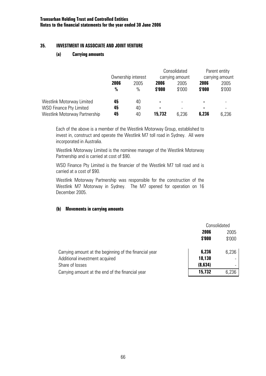## **35. INVESTMENT IN ASSOCIATE AND JOINT VENTURE**

## **(a) Carrying amounts**

|                               |               |                    |        | Consolidated             |        | Parent entity   |
|-------------------------------|---------------|--------------------|--------|--------------------------|--------|-----------------|
|                               |               | Ownership interest |        | carrying amount          |        | carrying amount |
|                               | 2006          | 2005               | 2006   | 2005                     | 2006   | 2005            |
|                               | $\frac{0}{0}$ | $\%$               | \$'000 | \$'000                   | \$'000 | \$'000          |
| Westlink Motorway Limited     | 45            | 40                 | ۰      | $\overline{\phantom{0}}$ | ۰      |                 |
| WSO Finance Pty Limited       | 45            | 40                 | ۰      | -                        |        |                 |
| Westlink Motorway Partnership | 45            | 40                 | 15,732 | 6,236                    | 6,236  | 6,236           |

Each of the above is a member of the Westlink Motorway Group, established to invest in, construct and operate the Westlink M7 toll road in Sydney. All were incorporated in Australia.

Westlink Motorway Limited is the nominee manager of the Westlink Motorway Partnership and is carried at cost of \$90.

WSO Finance Pty Limited is the financier of the Westlink M7 toll road and is carried at a cost of \$90.

Westlink Motorway Partnership was responsible for the construction of the Westlink M7 Motorway in Sydney. The M7 opened for operation on 16 December 2005.

## **(b) Movements in carrying amounts**

|                                                        | Consolidated |        |
|--------------------------------------------------------|--------------|--------|
|                                                        | 2006<br>2005 |        |
|                                                        | \$'000       | \$'000 |
| Carrying amount at the beginning of the financial year | 6,236        | 6,236  |
| Additional investment acquired                         | 18,130       |        |
| Share of losses                                        | (8,634)      |        |
| Carrying amount at the end of the financial year       | 15,732       | 6,236  |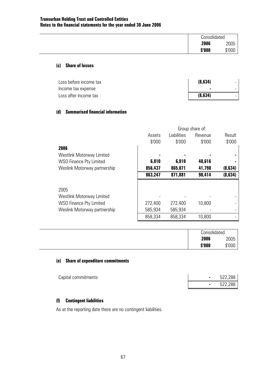| Consolidated |        |
|--------------|--------|
| 2006         | 2005   |
| \$'000       | \$'000 |

### **(c) Share of losses**

| Loss before income tax | (8, 634) |  |
|------------------------|----------|--|
| Income tax expense     | ٠        |  |
| Loss after income tax  | (8, 634) |  |

## **(d) Summarised financial information**

|                                  |         | Group share of: |         |         |  |  |
|----------------------------------|---------|-----------------|---------|---------|--|--|
|                                  | Assets  | Liabilities     | Revenue | Result  |  |  |
|                                  | \$'000  | \$'000          | \$'000  | \$'000  |  |  |
| 2006                             |         |                 |         |         |  |  |
| <b>Westlink Motorway Limited</b> |         |                 |         |         |  |  |
| <b>WSO Finance Pty Limited</b>   | 6,810   | 6,810           | 48,616  |         |  |  |
| Weslink Motorway partnership     | 856,437 | 865,071         | 41,798  | (8,634) |  |  |
|                                  | 863,247 | 871,881         | 90,414  | (8,634) |  |  |
| 2005                             |         |                 |         |         |  |  |
| Westlink Motorway Limited        |         |                 |         |         |  |  |
| <b>WSO Finance Pty Limited</b>   | 272,400 | 272,400         | 10,800  |         |  |  |
| Weslink Motorway partnership     | 585,934 | 585,934         |         |         |  |  |
|                                  | 858,334 | 858,334         | 10,800  |         |  |  |

| Consolidated |        |
|--------------|--------|
| 2006         | 2005   |
| \$'000       | \$'000 |

## **(e) Share of expenditure commitments**

| Capital commitments |  | 522,288 |
|---------------------|--|---------|
|                     |  | 522,288 |

# **(f) Contingent liabilities**

As at the reporting date there are no contingent liabilities.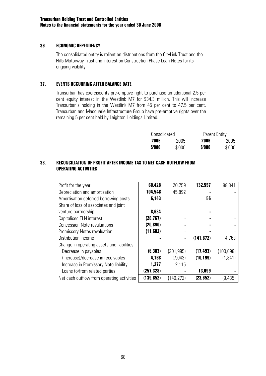## **36. ECONOMIC DEPENDENCY**

The consolidated entity is reliant on distributions from the CityLink Trust and the Hills Motorway Trust and interest on Construction Phase Loan Notes for its ongoing viability.

# **37. EVENTS OCCURRING AFTER BALANCE DATE**

Transurban has exercised its pre-emptive right to purchase an additional 2.5 per cent equity interest in the Westlink M7 for \$34.3 million. This will increase Transurban's holding in the Westlink M7 from 45 per cent to 47.5 per cent. Transurban and Macquarie Infrastructure Group have pre-emptive rights over the remaining 5 per cent held by Leighton Holdings Limited.

| Consolidated |        | <b>Parent Entity</b> |        |
|--------------|--------|----------------------|--------|
| 2006         | 2005   | 2006                 | 2005   |
| \$'000       | \$'000 | \$'000               | \$'000 |

## **38. RECONCILIATION OF PROFIT AFTER INCOME TAX TO NET CASH OUTFLOW FROM OPERATING ACTIVITIES**

| Profit for the year                        | 60,428     | 20,759     | 132,557    | 88,341     |
|--------------------------------------------|------------|------------|------------|------------|
| Depreciation and amortisation              | 104,548    | 45,892     |            |            |
| Amortisation deferred borrowing costs      | 6,143      |            | 56         |            |
| Share of loss of associates and joint      |            |            |            |            |
| venture partnership                        | 8,634      |            |            |            |
| Capitalised TLN interest                   | (28, 767)  |            |            |            |
| <b>Concession Note revaluations</b>        | (20, 890)  |            |            |            |
| Promissory Notes revaluation               | (11,682)   |            |            |            |
| Distribution income                        |            |            | (141, 672) | 4,763      |
| Change in operating assets and liabilities |            |            |            |            |
| Decrease in payables                       | (6, 383)   | (201, 995) | (17, 493)  | (100, 698) |
| (Increase)/decrease in receivables         | 4,168      | (7,043)    | (10, 199)  | (1, 841)   |
| Increase in Promissory Note liability      | 1,277      | 2,115      |            |            |
| Loans to/from related parties              | (257,328)  |            | 13,099     |            |
| Net cash outflow from operating activities | (139, 852) | (140, 272) | (23,652)   | (9, 435)   |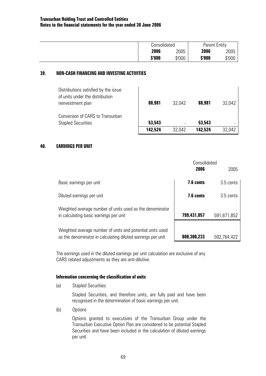| Consolidated<br><b>Parent Entity</b> |  |  |
|--------------------------------------|--|--|
| 2006<br>2006<br>2005<br>2005         |  |  |
| \$'000<br>\$'000<br>\$'000<br>\$'000 |  |  |

### **39. NON-CASH FINANCING AND INVESTING ACTIVITIES**

| Distributions satisfied by the issue<br>of units under the distribution<br>reinvestment plan | 88,981  | 32.042 | 88,981  | 32,042 |
|----------------------------------------------------------------------------------------------|---------|--------|---------|--------|
| Conversion of CARS to Transurban<br><b>Stapled Securities</b>                                | 53,543  |        | 53,543  |        |
|                                                                                              | 142,524 | 32.042 | 142,524 | 32.042 |

### **40. EARNINGS PER UNIT**

|                                                                                                                          | Consolidated<br>2006 | 2005        |
|--------------------------------------------------------------------------------------------------------------------------|----------------------|-------------|
| Basic earnings per unit                                                                                                  | 7.6 cents            | 3.5 cents   |
| Diluted earnings per unit                                                                                                | 7.6 cents            | 3.5 cents   |
| Weighted average number of units used as the denominator<br>in calculating basic earnings per unit                       | 799,431,057          | 591,871,852 |
| Weighted average number of units and potential units used<br>as the denominator in calculating diluted earnings per unit | 800,300,233          | 592,764,422 |

The earnings used in the diluted earnings per unit calculation are exclusive of any CARS related adjustments as they are anti-dilutive.

#### **Information concerning the classification of units**

(a) Stapled Securities

Stapled Securities, and therefore units, are fully paid and have been recognised in the determination of basic earnings per unit.

(b) Options

Options granted to executives of the Transurban Group under the Transurban Executive Option Plan are considered to be potential Stapled Securities and have been included in the calculation of diluted earnings per unit.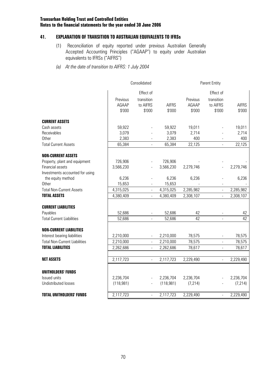## **41. EXPLANATION OF TRANSITION TO AUSTRALIAN EQUIVALENTS TO IFRSs**

- (1) Reconciliation of equity reported under previous Australian Generally Accepted Accounting Principles ("AGAAP") to equity under Australian equivalents to IFRSs ("AIFRS")
- *(a) At the date of transition to AIFRS: 1 July 2004*

|                                      |                             | Consolidated                                  |                        | Parent Entity               |                                               |                        |
|--------------------------------------|-----------------------------|-----------------------------------------------|------------------------|-----------------------------|-----------------------------------------------|------------------------|
|                                      | Previous<br>AGAAP<br>\$'000 | Effect of<br>transition<br>to AIFRS<br>\$'000 | <b>AIFRS</b><br>\$'000 | Previous<br>AGAAP<br>\$'000 | Effect of<br>transition<br>to AIFRS<br>\$'000 | <b>AIFRS</b><br>\$'000 |
| <b>CURRENT ASSETS</b>                |                             |                                               |                        |                             |                                               |                        |
| Cash assets                          | 59,922                      |                                               | 59,922                 | 19,011                      |                                               | 19,011                 |
| Receivables                          | 3,079                       |                                               | 3,079                  | 2,714                       |                                               | 2,714                  |
| <b>Other</b>                         | 2,383                       |                                               | 2,383                  | 400                         |                                               | 400                    |
| <b>Total Current Assets</b>          | 65,384                      |                                               | 65,384                 | 22,125                      |                                               | 22,125                 |
| <b>NON-CURRENT ASSETS</b>            |                             |                                               |                        |                             |                                               |                        |
| Property, plant and equipment        | 726,906                     |                                               | 726,906                |                             |                                               |                        |
| Financial assets                     | 3,566,230                   |                                               | 3,566,230              | 2,279,746                   |                                               | 2,279,746              |
| Investments accounted for using      |                             |                                               |                        |                             |                                               |                        |
| the equity method                    | 6,236                       |                                               | 6,236                  | 6,236                       |                                               | 6,236                  |
| <b>Other</b>                         | 15,653                      |                                               | 15,653                 |                             |                                               |                        |
| <b>Total Non-Current Assets</b>      | 4,315,025                   | $\overline{\phantom{a}}$                      | 4,315,025              | 2,285,982                   | $\overline{\phantom{a}}$                      | 2,285,982              |
| <b>TOTAL ASSETS</b>                  | 4,380,409                   | $\blacksquare$                                | 4,380,409              | 2,308,107                   | $\overline{\phantom{a}}$                      | 2,308,107              |
| <b>CURRENT LIABILITIES</b>           |                             |                                               |                        |                             |                                               |                        |
| Payables                             | 52,686                      |                                               | 52,686                 | 42                          |                                               | 42                     |
| <b>Total Current Liabilities</b>     | 52,686                      |                                               | 52,686                 | 42                          |                                               | 42                     |
| <b>NON-CURRENT LIABILITIES</b>       |                             |                                               |                        |                             |                                               |                        |
| Interest bearing liabilities         | 2,210,000                   |                                               | 2,210,000              | 78,575                      |                                               | 78,575                 |
| <b>Total Non-Current Liabilities</b> | 2,210,000                   | $\overline{a}$                                | 2,210,000              | 78,575                      |                                               | 78,575                 |
| <b>TOTAL LIABILITIES</b>             | 2,262,686                   |                                               | 2,262,686              | 78,617                      |                                               | 78,617                 |
| <b>NET ASSETS</b>                    | 2,117,723                   | $\Box$                                        | 2,117,723              | 2,229,490                   | $\frac{1}{2}$                                 | 2,229,490              |
|                                      |                             |                                               |                        |                             |                                               |                        |
| <b>UNITHOLDERS' FUNDS</b>            |                             |                                               |                        |                             |                                               |                        |
| Issued units                         | 2,236,704                   |                                               | 2,236,704              | 2,236,704                   |                                               | 2,236,704              |
| Undistributed losses                 | (118,981)                   | $\blacksquare$                                | (118, 981)             | (7, 214)                    |                                               | (7, 214)               |
| <b>TOTAL UNITHOLDERS' FUNDS</b>      | 2,117,723                   | $\overline{\phantom{a}}$                      | 2,117,723              | 2,229,490                   | $\blacksquare$                                | 2,229,490              |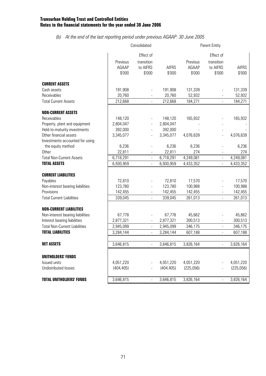# *(b) At the end of the last reporting period under previous AGAAP: 30 June 2005*

|                                      |                             | Consolidated                                  | Parent Entity          |                             |                                               |                        |  |
|--------------------------------------|-----------------------------|-----------------------------------------------|------------------------|-----------------------------|-----------------------------------------------|------------------------|--|
|                                      | Previous<br>AGAAP<br>\$'000 | Effect of<br>transition<br>to AIFRS<br>\$'000 | <b>AIFRS</b><br>\$'000 | Previous<br>AGAAP<br>\$'000 | Effect of<br>transition<br>to AIFRS<br>\$'000 | <b>AIFRS</b><br>\$'000 |  |
| <b>CURRENT ASSETS</b>                |                             |                                               |                        |                             |                                               |                        |  |
| Cash assets                          | 191,908                     |                                               | 191,908                | 131,339                     |                                               | 131,339                |  |
| Receivables                          | 20,760                      |                                               | 20,760                 | 52,932                      |                                               | 52,932                 |  |
| <b>Total Current Assets</b>          | 212,668                     |                                               | 212,668                | 184,271                     |                                               | 184,271                |  |
| <b>NON-CURRENT ASSETS</b>            |                             |                                               |                        |                             |                                               |                        |  |
| Receivables                          | 148,120                     |                                               | 148,120                | 165,932                     |                                               | 165,932                |  |
| Property, plant and equipment        | 2,804,047                   |                                               | 2,804,047              |                             |                                               |                        |  |
| Held-to-maturity investments         | 392,000                     |                                               | 392,000                |                             |                                               |                        |  |
| Other financial assets               | 3,345,077                   | $\overline{a}$                                | 3,345,077              | 4,076,639                   |                                               | 4,076,639              |  |
| Investments accounted for using      |                             |                                               |                        |                             |                                               |                        |  |
| the equity method                    | 6,236                       |                                               | 6,236                  | 6,236                       |                                               | 6,236                  |  |
| Other                                | 22,811                      |                                               | 22,811                 | 274                         |                                               | 274                    |  |
| <b>Total Non-Current Assets</b>      | 6,718,291                   | $\overline{a}$                                | 6,718,291              | 4,249,081                   |                                               | 4,249,081              |  |
| <b>TOTAL ASSETS</b>                  | 6,930,959                   | $\overline{\phantom{a}}$                      | 6,930,959              | 4,433,352                   |                                               | 4,433,352              |  |
| <b>CURRENT LIABILITIES</b>           |                             |                                               |                        |                             |                                               |                        |  |
| Payables                             | 72,810                      |                                               | 72,810                 | 17,570                      |                                               | 17,570                 |  |
| Non-interest bearing liabilities     | 123,780                     |                                               | 123,780                | 100,988                     |                                               | 100,988                |  |
| Provisions                           | 142,455                     |                                               | 142,455                | 142,455                     |                                               | 142,455                |  |
| <b>Total Current Liabilities</b>     | 339,045                     |                                               | 339,045                | 261,013                     |                                               | 261,013                |  |
| <b>NON-CURRENT LIABILITIES</b>       |                             |                                               |                        |                             |                                               |                        |  |
| Non-interest bearing liabilities     | 67,778                      |                                               | 67,778                 | 45,662                      |                                               | 45,662                 |  |
| Interest bearing liabilities         | 2,877,321                   |                                               | 2,877,321              | 300,513                     |                                               | 300,513                |  |
| <b>Total Non-Current Liabilities</b> | 2,945,099                   | $\blacksquare$                                | 2,945,099              | 346,175                     | $\overline{\phantom{a}}$                      | 346,175                |  |
| <b>TOTAL LIABILITIES</b>             | 3,284,144                   |                                               | 3,284,144              | 607,188                     |                                               | 607,188                |  |
|                                      |                             |                                               |                        |                             |                                               |                        |  |
| <b>NET ASSETS</b>                    | 3,646,815                   |                                               | 3,646,815              | 3,826,164                   |                                               | 3,826,164              |  |
| <b>UNITHOLDERS' FUNDS</b>            |                             |                                               |                        |                             |                                               |                        |  |
| Issued units                         | 4,051,220                   |                                               | 4,051,220              | 4,051,220                   |                                               | 4,051,220              |  |
| Undistributed losses                 | (404, 405)                  |                                               | (404, 405)             | (225,056)                   |                                               | (225,056)              |  |
| <b>TOTAL UNITHOLDERS' FUNDS</b>      | 3,646,815                   | $\overline{a}$                                | 3,646,815              | 3,826,164                   | $\blacksquare$                                | 3,826,164              |  |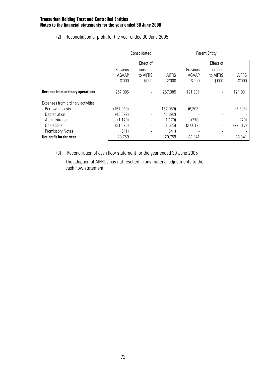(2) Reconciliation of profit for the year ended 30 June 2005

|                                         |           | Consolidated |              |           |            |              |
|-----------------------------------------|-----------|--------------|--------------|-----------|------------|--------------|
|                                         |           | Effect of    |              |           | Effect of  |              |
|                                         | Previous  | transition   |              | Previous  | transition |              |
|                                         | AGAAP     | to AIFRS     | <b>AIFRS</b> | AGAAP     | to AIFRS   | <b>AIFRS</b> |
|                                         | \$'000    | \$'000       | \$'000       | \$'000    | \$'000     | \$'000       |
| <b>Revenue from ordinary operations</b> | 257,085   |              | 257,085      | 121,931   |            | 121,931      |
| Expenses from ordinary activities       |           |              |              |           |            |              |
| Borrowing costs                         | (157,089) |              | (157,089)    | (6,303)   |            | (6, 303)     |
| Depreciation                            | (45, 892) |              | (45, 892)    |           |            |              |
| Administration                          | (1, 179)  |              | (1, 179)     | (270)     |            | (270)        |
| Operational                             | (31, 625) |              | (31, 625)    | (27, 017) |            | (27, 017)    |
| <b>Promissory Notes</b>                 | (541)     |              | (541)        |           |            |              |
| Net profit for the year                 | 20,759    |              | 20,759       | 88,341    |            | 88,341       |

(3) Reconciliation of cash flow statement for the year ended 30 June 2005

The adoption of AIFRSs has not resulted in any material adjustments to the cash flow statement.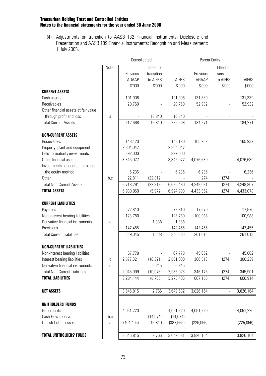(4) Adjustments on transition to AASB 132 Financial Instruments: Disclosure and Presentation and AASB 139 Financial Instruments: Recognition and Measurement: 1 July 2005.

|                                      |         | Consolidated             | Parent Entity            |              |           |                |              |
|--------------------------------------|---------|--------------------------|--------------------------|--------------|-----------|----------------|--------------|
|                                      | Notes   |                          | Effect of                |              |           | Effect of      |              |
|                                      |         | Previous                 | transition               |              | Previous  | transition     |              |
|                                      |         | AGAAP                    | to AIFRS                 | <b>AIFRS</b> | AGAAP     | to AIFRS       | <b>AIFRS</b> |
|                                      |         | \$'000                   | $$^{\circ}000$           | \$'000       | \$'000    | \$'000         | \$'000       |
| <b>CURRENT ASSETS</b>                |         |                          |                          |              |           |                |              |
| Cash assets                          |         | 191,908                  |                          | 191,908      | 131,339   |                | 131,339      |
| Receivables                          |         | 20,760                   |                          | 20,760       | 52,932    |                | 52,932       |
| Other financial assets at fair value |         |                          |                          |              |           |                |              |
| through profit and loss              | a       |                          | 16,840                   | 16,840       |           |                |              |
| <b>Total Current Assets</b>          |         | 212,668                  | 16,840                   | 229,508      | 184,271   |                | 184,271      |
| <b>NON-CURRENT ASSETS</b>            |         |                          |                          |              |           |                |              |
| Receivables                          |         | 148,120                  |                          | 148,120      | 165,932   |                | 165,932      |
| Property, plant and equipment        |         | 2,804,047                |                          | 2,804,047    |           |                |              |
| Held-to-maturity investments         |         | 392,000                  |                          | 392,000      |           |                |              |
| Other financial assets               |         | 3,345,077                |                          | 3,345,077    | 4,076,639 |                | 4,076,639    |
| Investments accounted for using      |         |                          |                          |              |           |                |              |
| the equity method                    |         | 6,236                    |                          | 6,236        | 6,236     |                | 6,236        |
| <b>Other</b>                         | b,c     | 22,811                   | (22, 812)                |              | 274       | (274)          |              |
| <b>Total Non-Current Assets</b>      |         | 6,718,291                | (22, 812)                | 6,695,480    | 4,249,081 | (274)          | 4,248,807    |
| <b>TOTAL ASSETS</b>                  |         | 6,930,959                | (5, 972)                 | 6,924,988    | 4,433,352 | (274)          | 4,433,078    |
| <b>CURRENT LIABILITIES</b>           |         |                          |                          |              |           |                |              |
| Payables                             |         | 72,810                   |                          | 72,810       | 17,570    |                | 17,570       |
| Non-interest bearing liabilities     |         | 123,780                  |                          | 123,780      | 100,988   |                | 100,988      |
| Derivative financial instruments     | $\sf d$ | $\overline{\phantom{a}}$ | 1,338                    | 1,338        |           |                |              |
| Provisions                           |         | 142,455                  | $\overline{\phantom{a}}$ | 142,455      | 142,455   |                | 142,455      |
| <b>Total Current Liabilities</b>     |         | 339,045                  | 1,338                    | 340,383      | 261,013   | $\blacksquare$ | 261,013      |
| <b>NON-CURRENT LIABILITIES</b>       |         |                          |                          |              |           |                |              |
| Non-interest bearing liabilities     |         | 67,778                   | $\overline{\phantom{a}}$ | 67,778       | 45,662    |                | 45,662       |
| Interest bearing liabilities         |         | 2,877,321                | (16, 321)                | 2,861,000    | 300,513   | (274)          | 300,239      |
| Derivative financial instruments     | C<br>d  |                          | 6,245                    | 6,245        |           |                |              |
| <b>Total Non-Current Liabilities</b> |         | 2,945,099                | (10, 076)                | 2,935,023    | 346,175   | (274)          | 345,901      |
| <b>TOTAL LIABILITIES</b>             |         | 3,284,144                | (8, 738)                 | 3,275,406    | 607,188   | (274)          | 606,914      |
|                                      |         |                          |                          |              |           |                |              |
| <b>NET ASSETS</b>                    |         | 3,646,815                | 2,766                    | 3,649,582    | 3,826,164 |                | 3,826,164    |
| UNITHOLDERS' FUNDS                   |         |                          |                          |              |           |                |              |
| Issued units                         |         | 4,051,220                | $\overline{\phantom{a}}$ | 4,051,220    | 4,051,220 |                | 4,051,220    |
| Cash Flow reserve                    | b,c     |                          | (14, 074)                | (14, 074)    |           |                |              |
| Undistributed losses                 | a       | (404, 405)               | 16,840                   | (387, 565)   | (225,056) |                | (225,056)    |
| <b>TOTAL UNITHOLDERS' FUNDS</b>      |         | 3,646,815                | 2,766                    | 3,649,581    | 3,826,164 |                | 3,826,164    |
|                                      |         |                          |                          |              |           |                |              |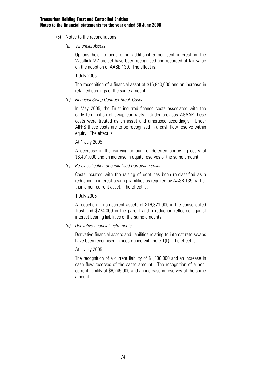- (5) Notes to the reconciliations
	- *(a) Financial Assets*

 Options held to acquire an additional 5 per cent interest in the Westlink M7 project have been recognised and recorded at fair value on the adoption of AASB 139. The effect is:

1 July 2005

 The recognition of a financial asset of \$16,840,000 and an increase in retained earnings of the same amount.

*(b) Financial Swap Contract Break Costs* 

 In May 2005, the Trust incurred finance costs associated with the early termination of swap contracts. Under previous AGAAP these costs were treated as an asset and amortised accordingly. Under AIFRS these costs are to be recognised in a cash flow reserve within equity. The effect is:

At 1 July 2005

 A decrease in the carrying amount of deferred borrowing costs of \$6,491,000 and an increase in equity reserves of the same amount.

*(c) Re-classification of capitalised borrowing costs* 

Costs incurred with the raising of debt has been re-classified as a reduction in interest bearing liabilities as required by AASB 139, rather than a non-current asset. The effect is:

1 July 2005

 A reduction in non-current assets of \$16,321,000 in the consolidated Trust and \$274,000 in the parent and a reduction reflected against interest bearing liabilities of the same amounts.

*(d) Derivative financial instruments* 

Derivative financial assets and liabilities relating to interest rate swaps have been recognised in accordance with note 1(k). The effect is:

At 1 July 2005

 The recognition of a current liability of \$1,338,000 and an increase in cash flow reserves of the same amount. The recognition of a noncurrent liability of \$6,245,000 and an increase in reserves of the same amount.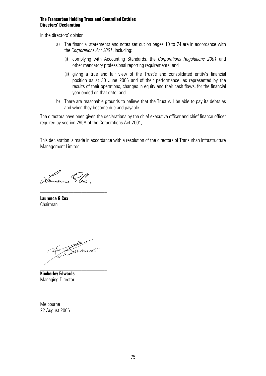### **The Transurban Holding Trust and Controlled Entities Directors' Declaration**

In the directors' opinion:

- a) The financial statements and notes set out on pages 10 to 74 are in accordance with the *Corporations Act 2001*, including:
	- (i) complying with Accounting Standards, the *Corporations Regulations 2001* and other mandatory professional reporting requirements; and
	- (ii) giving a true and fair view of the Trust's and consolidated entity's financial position as at 30 June 2006 and of their performance, as represented by the results of their operations, changes in equity and their cash flows, for the financial year ended on that date; and
- b) There are reasonable grounds to believe that the Trust will be able to pay its debts as and when they become due and payable.

The directors have been given the declarations by the chief executive officer and chief finance officer required by section 295A of the Corporations Act 2001,

This declaration is made in accordance with a resolution of the directors of Transurban Infrastructure Management Limited.

Vanneure Pox

**Laurence G Cox**  Chairman

Kavard s **\_\_\_\_\_\_\_\_\_\_\_\_\_\_\_\_\_\_\_\_\_\_\_\_\_\_** 

**Kimberley Edwards**  Managing Director

Melbourne 22 August 2006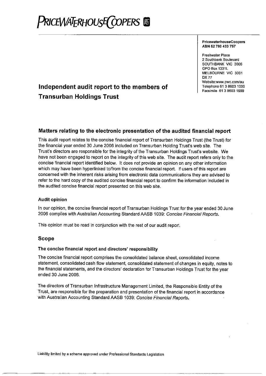# **RICEWATERHOUSE COPERS**

#### **PricewaterhouseCoopers** ABN 52 780 433 757

**Freshwater Place** 2 Southbank Boulevard SOUTHBANK VIC 3006 GPO Box 1331L MELBOURNE VIC 3001 **DX77** Website:www.pwc.com/au Telephone 61 3 8603 1000 Facsimile 61 3 8603 1999

# Independent audit report to the members of **Transurban Holdings Trust**

# Matters relating to the electronic presentation of the audited financial report

This audit report relates to the concise financial report of Transurban Holdings Trust (the Trust) for the financial year ended 30 June 2006 included on Transurban Holding Trust's web site. The Trust's directors are responsible for the integrity of the Transurban Holdings Trust's website. We have not been engaged to report on the integrity of this web site. The audit report refers only to the concise financial report identified below. It does not provide an opinion on any other information which may have been hyperlinked to/from the concise financial report. If users of this report are concerned with the inherent risks arising from electronic data communications they are advised to refer to the hard copy of the audited concise financial report to confirm the information included in the audited concise financial report presented on this web site.

### **Audit opinion**

In our opinion, the concise financial report of Transurban Holdings Trust for the year ended 30 June 2006 complies with Australian Accounting Standard AASB 1039: Concise Financial Reports.

This opinion must be read in conjunction with the rest of our audit report.

## **Scope**

### The concise financial report and directors' responsibility

The concise financial report comprises the consolidated balance sheet, consolidated income statement, consolidated cash flow statement, consolidated statement of changes in equity, notes to the financial statements, and the directors' declaration for Transurban Holdings Trust for the year ended 30 June 2006.

The directors of Transurban Infrastructure Management Limited, the Responsible Entity of the Trust, are responsible for the preparation and presentation of the financial report in accordance with Australian Accounting Standard AASB 1039: Concise Financial Reports.